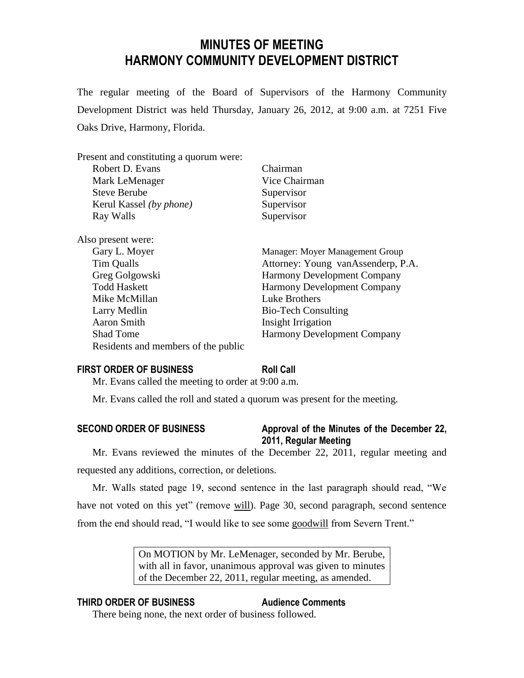# **MINUTES OF MEETING HARMONY COMMUNITY DEVELOPMENT DISTRICT**

The regular meeting of the Board of Supervisors of the Harmony Community Development District was held Thursday, January 26, 2012, at 9:00 a.m. at 7251 Five Oaks Drive, Harmony, Florida.

| Present and constituting a quorum were: |                                    |
|-----------------------------------------|------------------------------------|
| Robert D. Evans                         | Chairman                           |
| Mark LeMenager                          | Vice Chairman                      |
| <b>Steve Berube</b>                     | Supervisor                         |
| Kerul Kassel (by phone)                 | Supervisor                         |
| Ray Walls                               | Supervisor                         |
| Also present were:                      |                                    |
| Gary L. Moyer                           | Manager: Moyer Management Group    |
| Tim Qualls                              | Attorney: Young vanAssenderp, P.A. |
| Greg Golgowski                          | <b>Harmony Development Company</b> |
| <b>Todd Haskett</b>                     | <b>Harmony Development Company</b> |
| Mike McMillan                           | Luke Brothers                      |
| Larry Medlin                            | <b>Bio-Tech Consulting</b>         |
| Aaron Smith                             | Insight Irrigation                 |
| <b>Shad Tome</b>                        | <b>Harmony Development Company</b> |
| Residents and members of the public     |                                    |
|                                         |                                    |

### **FIRST ORDER OF BUSINESS Roll Call**

Mr. Evans called the meeting to order at 9:00 a.m.

Mr. Evans called the roll and stated a quorum was present for the meeting.

# **SECOND ORDER OF BUSINESS Approval of the Minutes of the December 22, 2011, Regular Meeting**

Mr. Evans reviewed the minutes of the December 22, 2011, regular meeting and requested any additions, correction, or deletions.

Mr. Walls stated page 19, second sentence in the last paragraph should read, "We have not voted on this yet" (remove will). Page 30, second paragraph, second sentence from the end should read, "I would like to see some goodwill from Severn Trent."

> On MOTION by Mr. LeMenager, seconded by Mr. Berube, with all in favor, unanimous approval was given to minutes of the December 22, 2011, regular meeting, as amended.

# **THIRD ORDER OF BUSINESS Audience Comments**

There being none, the next order of business followed.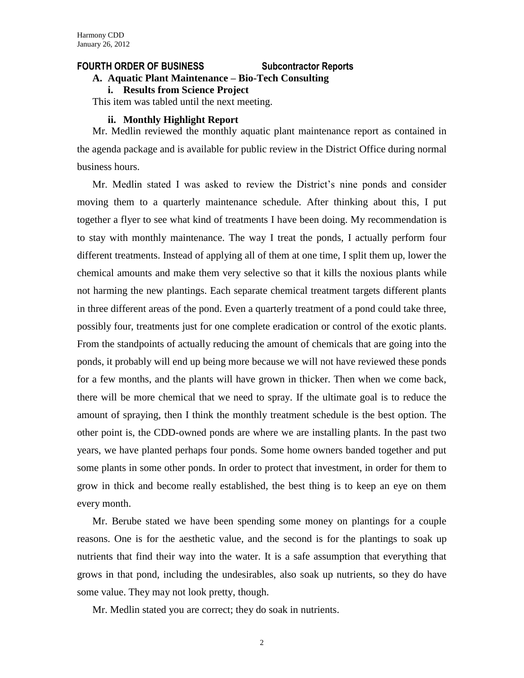#### **FOURTH ORDER OF BUSINESS Subcontractor Reports**

### **A. Aquatic Plant Maintenance – Bio-Tech Consulting**

**i. Results from Science Project** 

This item was tabled until the next meeting.

#### **ii. Monthly Highlight Report**

Mr. Medlin reviewed the monthly aquatic plant maintenance report as contained in the agenda package and is available for public review in the District Office during normal business hours.

Mr. Medlin stated I was asked to review the District's nine ponds and consider moving them to a quarterly maintenance schedule. After thinking about this, I put together a flyer to see what kind of treatments I have been doing. My recommendation is to stay with monthly maintenance. The way I treat the ponds, I actually perform four different treatments. Instead of applying all of them at one time, I split them up, lower the chemical amounts and make them very selective so that it kills the noxious plants while not harming the new plantings. Each separate chemical treatment targets different plants in three different areas of the pond. Even a quarterly treatment of a pond could take three, possibly four, treatments just for one complete eradication or control of the exotic plants. From the standpoints of actually reducing the amount of chemicals that are going into the ponds, it probably will end up being more because we will not have reviewed these ponds for a few months, and the plants will have grown in thicker. Then when we come back, there will be more chemical that we need to spray. If the ultimate goal is to reduce the amount of spraying, then I think the monthly treatment schedule is the best option. The other point is, the CDD-owned ponds are where we are installing plants. In the past two years, we have planted perhaps four ponds. Some home owners banded together and put some plants in some other ponds. In order to protect that investment, in order for them to grow in thick and become really established, the best thing is to keep an eye on them every month.

Mr. Berube stated we have been spending some money on plantings for a couple reasons. One is for the aesthetic value, and the second is for the plantings to soak up nutrients that find their way into the water. It is a safe assumption that everything that grows in that pond, including the undesirables, also soak up nutrients, so they do have some value. They may not look pretty, though.

Mr. Medlin stated you are correct; they do soak in nutrients.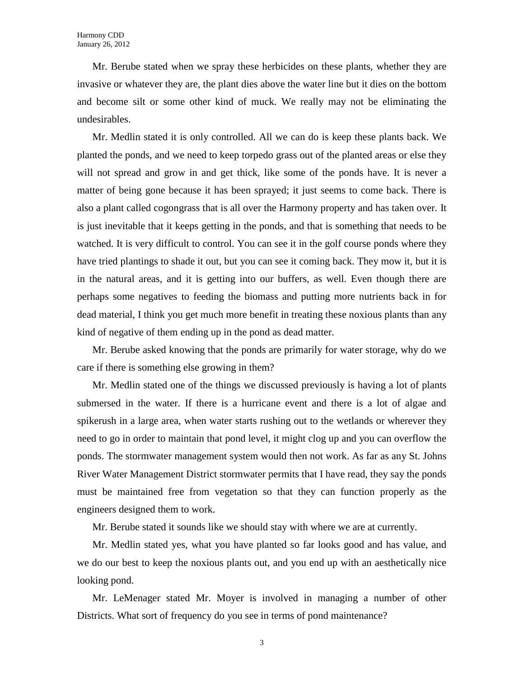Mr. Berube stated when we spray these herbicides on these plants, whether they are invasive or whatever they are, the plant dies above the water line but it dies on the bottom and become silt or some other kind of muck. We really may not be eliminating the undesirables.

Mr. Medlin stated it is only controlled. All we can do is keep these plants back. We planted the ponds, and we need to keep torpedo grass out of the planted areas or else they will not spread and grow in and get thick, like some of the ponds have. It is never a matter of being gone because it has been sprayed; it just seems to come back. There is also a plant called cogongrass that is all over the Harmony property and has taken over. It is just inevitable that it keeps getting in the ponds, and that is something that needs to be watched. It is very difficult to control. You can see it in the golf course ponds where they have tried plantings to shade it out, but you can see it coming back. They mow it, but it is in the natural areas, and it is getting into our buffers, as well. Even though there are perhaps some negatives to feeding the biomass and putting more nutrients back in for dead material, I think you get much more benefit in treating these noxious plants than any kind of negative of them ending up in the pond as dead matter.

Mr. Berube asked knowing that the ponds are primarily for water storage, why do we care if there is something else growing in them?

Mr. Medlin stated one of the things we discussed previously is having a lot of plants submersed in the water. If there is a hurricane event and there is a lot of algae and spikerush in a large area, when water starts rushing out to the wetlands or wherever they need to go in order to maintain that pond level, it might clog up and you can overflow the ponds. The stormwater management system would then not work. As far as any St. Johns River Water Management District stormwater permits that I have read, they say the ponds must be maintained free from vegetation so that they can function properly as the engineers designed them to work.

Mr. Berube stated it sounds like we should stay with where we are at currently.

Mr. Medlin stated yes, what you have planted so far looks good and has value, and we do our best to keep the noxious plants out, and you end up with an aesthetically nice looking pond.

Mr. LeMenager stated Mr. Moyer is involved in managing a number of other Districts. What sort of frequency do you see in terms of pond maintenance?

3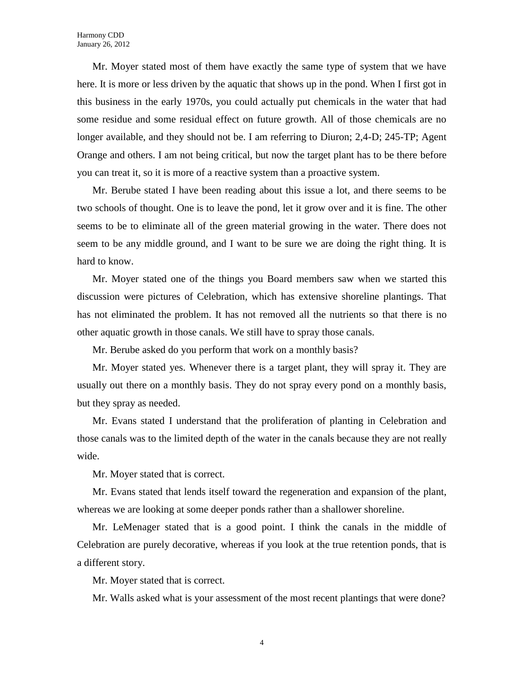Mr. Moyer stated most of them have exactly the same type of system that we have here. It is more or less driven by the aquatic that shows up in the pond. When I first got in this business in the early 1970s, you could actually put chemicals in the water that had some residue and some residual effect on future growth. All of those chemicals are no longer available, and they should not be. I am referring to Diuron; 2,4-D; 245-TP; Agent Orange and others. I am not being critical, but now the target plant has to be there before you can treat it, so it is more of a reactive system than a proactive system.

Mr. Berube stated I have been reading about this issue a lot, and there seems to be two schools of thought. One is to leave the pond, let it grow over and it is fine. The other seems to be to eliminate all of the green material growing in the water. There does not seem to be any middle ground, and I want to be sure we are doing the right thing. It is hard to know.

Mr. Moyer stated one of the things you Board members saw when we started this discussion were pictures of Celebration, which has extensive shoreline plantings. That has not eliminated the problem. It has not removed all the nutrients so that there is no other aquatic growth in those canals. We still have to spray those canals.

Mr. Berube asked do you perform that work on a monthly basis?

Mr. Moyer stated yes. Whenever there is a target plant, they will spray it. They are usually out there on a monthly basis. They do not spray every pond on a monthly basis, but they spray as needed.

Mr. Evans stated I understand that the proliferation of planting in Celebration and those canals was to the limited depth of the water in the canals because they are not really wide.

Mr. Moyer stated that is correct.

Mr. Evans stated that lends itself toward the regeneration and expansion of the plant, whereas we are looking at some deeper ponds rather than a shallower shoreline.

Mr. LeMenager stated that is a good point. I think the canals in the middle of Celebration are purely decorative, whereas if you look at the true retention ponds, that is a different story.

Mr. Moyer stated that is correct.

Mr. Walls asked what is your assessment of the most recent plantings that were done?

4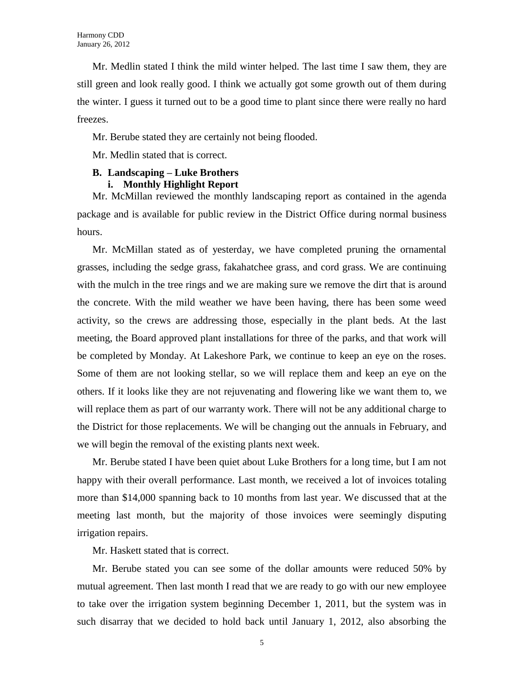Mr. Medlin stated I think the mild winter helped. The last time I saw them, they are still green and look really good. I think we actually got some growth out of them during the winter. I guess it turned out to be a good time to plant since there were really no hard freezes.

Mr. Berube stated they are certainly not being flooded.

Mr. Medlin stated that is correct.

### **B. Landscaping – Luke Brothers**

#### **i. Monthly Highlight Report**

Mr. McMillan reviewed the monthly landscaping report as contained in the agenda package and is available for public review in the District Office during normal business hours.

Mr. McMillan stated as of yesterday, we have completed pruning the ornamental grasses, including the sedge grass, fakahatchee grass, and cord grass. We are continuing with the mulch in the tree rings and we are making sure we remove the dirt that is around the concrete. With the mild weather we have been having, there has been some weed activity, so the crews are addressing those, especially in the plant beds. At the last meeting, the Board approved plant installations for three of the parks, and that work will be completed by Monday. At Lakeshore Park, we continue to keep an eye on the roses. Some of them are not looking stellar, so we will replace them and keep an eye on the others. If it looks like they are not rejuvenating and flowering like we want them to, we will replace them as part of our warranty work. There will not be any additional charge to the District for those replacements. We will be changing out the annuals in February, and we will begin the removal of the existing plants next week.

Mr. Berube stated I have been quiet about Luke Brothers for a long time, but I am not happy with their overall performance. Last month, we received a lot of invoices totaling more than \$14,000 spanning back to 10 months from last year. We discussed that at the meeting last month, but the majority of those invoices were seemingly disputing irrigation repairs.

Mr. Haskett stated that is correct.

Mr. Berube stated you can see some of the dollar amounts were reduced 50% by mutual agreement. Then last month I read that we are ready to go with our new employee to take over the irrigation system beginning December 1, 2011, but the system was in such disarray that we decided to hold back until January 1, 2012, also absorbing the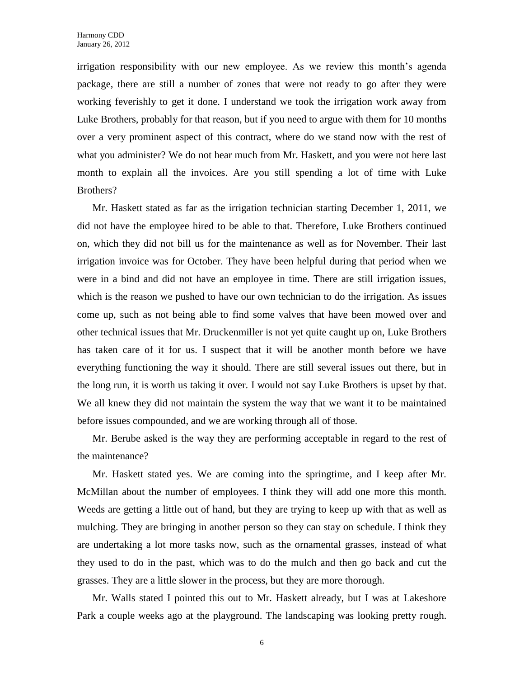irrigation responsibility with our new employee. As we review this month's agenda package, there are still a number of zones that were not ready to go after they were working feverishly to get it done. I understand we took the irrigation work away from Luke Brothers, probably for that reason, but if you need to argue with them for 10 months over a very prominent aspect of this contract, where do we stand now with the rest of what you administer? We do not hear much from Mr. Haskett, and you were not here last month to explain all the invoices. Are you still spending a lot of time with Luke Brothers?

Mr. Haskett stated as far as the irrigation technician starting December 1, 2011, we did not have the employee hired to be able to that. Therefore, Luke Brothers continued on, which they did not bill us for the maintenance as well as for November. Their last irrigation invoice was for October. They have been helpful during that period when we were in a bind and did not have an employee in time. There are still irrigation issues, which is the reason we pushed to have our own technician to do the irrigation. As issues come up, such as not being able to find some valves that have been mowed over and other technical issues that Mr. Druckenmiller is not yet quite caught up on, Luke Brothers has taken care of it for us. I suspect that it will be another month before we have everything functioning the way it should. There are still several issues out there, but in the long run, it is worth us taking it over. I would not say Luke Brothers is upset by that. We all knew they did not maintain the system the way that we want it to be maintained before issues compounded, and we are working through all of those.

Mr. Berube asked is the way they are performing acceptable in regard to the rest of the maintenance?

Mr. Haskett stated yes. We are coming into the springtime, and I keep after Mr. McMillan about the number of employees. I think they will add one more this month. Weeds are getting a little out of hand, but they are trying to keep up with that as well as mulching. They are bringing in another person so they can stay on schedule. I think they are undertaking a lot more tasks now, such as the ornamental grasses, instead of what they used to do in the past, which was to do the mulch and then go back and cut the grasses. They are a little slower in the process, but they are more thorough.

Mr. Walls stated I pointed this out to Mr. Haskett already, but I was at Lakeshore Park a couple weeks ago at the playground. The landscaping was looking pretty rough.

6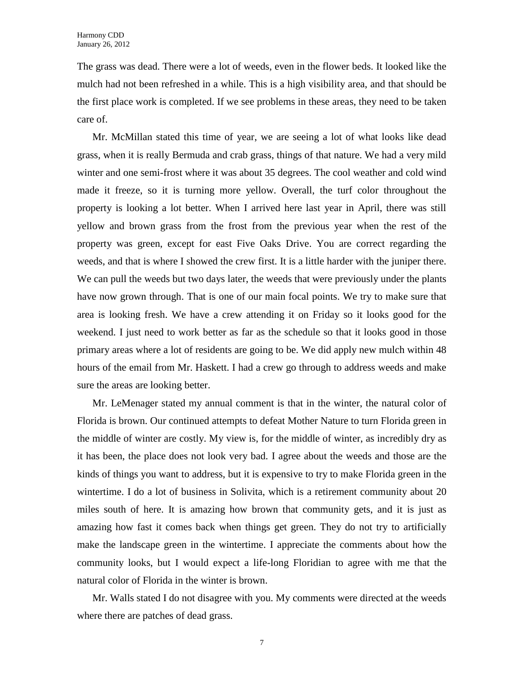The grass was dead. There were a lot of weeds, even in the flower beds. It looked like the mulch had not been refreshed in a while. This is a high visibility area, and that should be the first place work is completed. If we see problems in these areas, they need to be taken care of.

Mr. McMillan stated this time of year, we are seeing a lot of what looks like dead grass, when it is really Bermuda and crab grass, things of that nature. We had a very mild winter and one semi-frost where it was about 35 degrees. The cool weather and cold wind made it freeze, so it is turning more yellow. Overall, the turf color throughout the property is looking a lot better. When I arrived here last year in April, there was still yellow and brown grass from the frost from the previous year when the rest of the property was green, except for east Five Oaks Drive. You are correct regarding the weeds, and that is where I showed the crew first. It is a little harder with the juniper there. We can pull the weeds but two days later, the weeds that were previously under the plants have now grown through. That is one of our main focal points. We try to make sure that area is looking fresh. We have a crew attending it on Friday so it looks good for the weekend. I just need to work better as far as the schedule so that it looks good in those primary areas where a lot of residents are going to be. We did apply new mulch within 48 hours of the email from Mr. Haskett. I had a crew go through to address weeds and make sure the areas are looking better.

Mr. LeMenager stated my annual comment is that in the winter, the natural color of Florida is brown. Our continued attempts to defeat Mother Nature to turn Florida green in the middle of winter are costly. My view is, for the middle of winter, as incredibly dry as it has been, the place does not look very bad. I agree about the weeds and those are the kinds of things you want to address, but it is expensive to try to make Florida green in the wintertime. I do a lot of business in Solivita, which is a retirement community about 20 miles south of here. It is amazing how brown that community gets, and it is just as amazing how fast it comes back when things get green. They do not try to artificially make the landscape green in the wintertime. I appreciate the comments about how the community looks, but I would expect a life-long Floridian to agree with me that the natural color of Florida in the winter is brown.

Mr. Walls stated I do not disagree with you. My comments were directed at the weeds where there are patches of dead grass.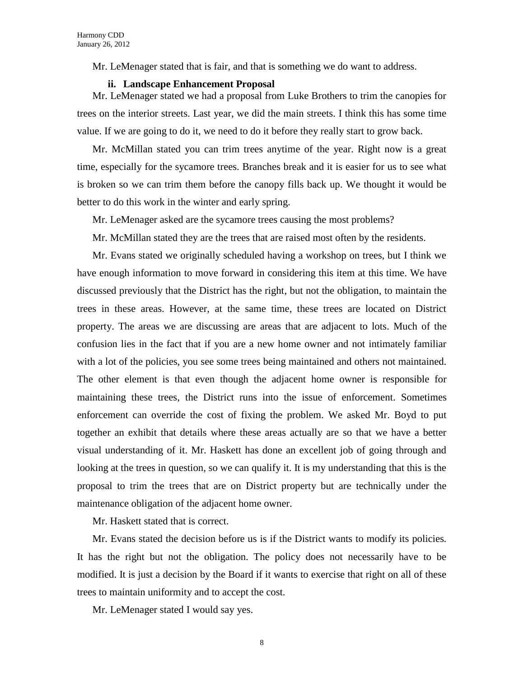Mr. LeMenager stated that is fair, and that is something we do want to address.

#### **ii. Landscape Enhancement Proposal**

Mr. LeMenager stated we had a proposal from Luke Brothers to trim the canopies for trees on the interior streets. Last year, we did the main streets. I think this has some time value. If we are going to do it, we need to do it before they really start to grow back.

Mr. McMillan stated you can trim trees anytime of the year. Right now is a great time, especially for the sycamore trees. Branches break and it is easier for us to see what is broken so we can trim them before the canopy fills back up. We thought it would be better to do this work in the winter and early spring.

Mr. LeMenager asked are the sycamore trees causing the most problems?

Mr. McMillan stated they are the trees that are raised most often by the residents.

Mr. Evans stated we originally scheduled having a workshop on trees, but I think we have enough information to move forward in considering this item at this time. We have discussed previously that the District has the right, but not the obligation, to maintain the trees in these areas. However, at the same time, these trees are located on District property. The areas we are discussing are areas that are adjacent to lots. Much of the confusion lies in the fact that if you are a new home owner and not intimately familiar with a lot of the policies, you see some trees being maintained and others not maintained. The other element is that even though the adjacent home owner is responsible for maintaining these trees, the District runs into the issue of enforcement. Sometimes enforcement can override the cost of fixing the problem. We asked Mr. Boyd to put together an exhibit that details where these areas actually are so that we have a better visual understanding of it. Mr. Haskett has done an excellent job of going through and looking at the trees in question, so we can qualify it. It is my understanding that this is the proposal to trim the trees that are on District property but are technically under the maintenance obligation of the adjacent home owner.

Mr. Haskett stated that is correct.

Mr. Evans stated the decision before us is if the District wants to modify its policies. It has the right but not the obligation. The policy does not necessarily have to be modified. It is just a decision by the Board if it wants to exercise that right on all of these trees to maintain uniformity and to accept the cost.

Mr. LeMenager stated I would say yes.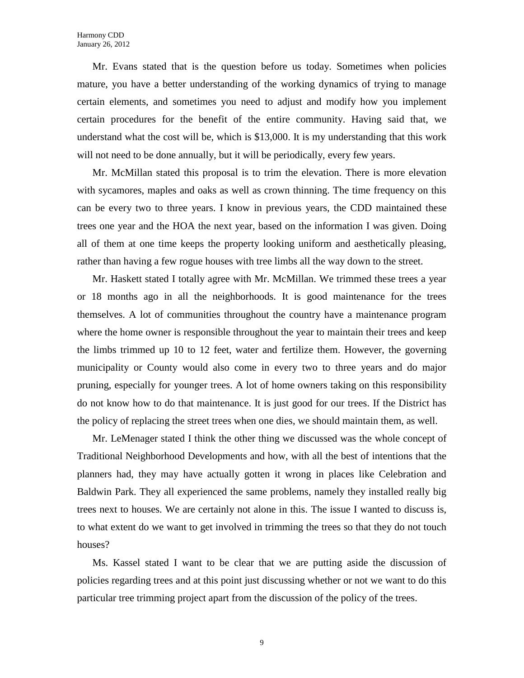Mr. Evans stated that is the question before us today. Sometimes when policies mature, you have a better understanding of the working dynamics of trying to manage certain elements, and sometimes you need to adjust and modify how you implement certain procedures for the benefit of the entire community. Having said that, we understand what the cost will be, which is \$13,000. It is my understanding that this work will not need to be done annually, but it will be periodically, every few years.

Mr. McMillan stated this proposal is to trim the elevation. There is more elevation with sycamores, maples and oaks as well as crown thinning. The time frequency on this can be every two to three years. I know in previous years, the CDD maintained these trees one year and the HOA the next year, based on the information I was given. Doing all of them at one time keeps the property looking uniform and aesthetically pleasing, rather than having a few rogue houses with tree limbs all the way down to the street.

Mr. Haskett stated I totally agree with Mr. McMillan. We trimmed these trees a year or 18 months ago in all the neighborhoods. It is good maintenance for the trees themselves. A lot of communities throughout the country have a maintenance program where the home owner is responsible throughout the year to maintain their trees and keep the limbs trimmed up 10 to 12 feet, water and fertilize them. However, the governing municipality or County would also come in every two to three years and do major pruning, especially for younger trees. A lot of home owners taking on this responsibility do not know how to do that maintenance. It is just good for our trees. If the District has the policy of replacing the street trees when one dies, we should maintain them, as well.

Mr. LeMenager stated I think the other thing we discussed was the whole concept of Traditional Neighborhood Developments and how, with all the best of intentions that the planners had, they may have actually gotten it wrong in places like Celebration and Baldwin Park. They all experienced the same problems, namely they installed really big trees next to houses. We are certainly not alone in this. The issue I wanted to discuss is, to what extent do we want to get involved in trimming the trees so that they do not touch houses?

Ms. Kassel stated I want to be clear that we are putting aside the discussion of policies regarding trees and at this point just discussing whether or not we want to do this particular tree trimming project apart from the discussion of the policy of the trees.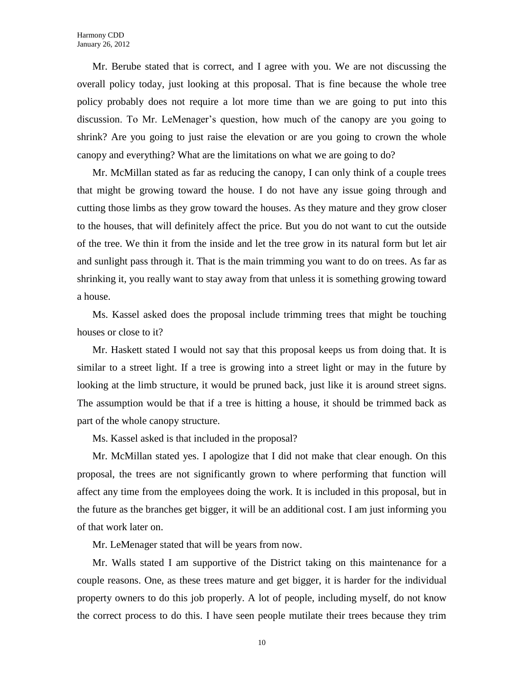Mr. Berube stated that is correct, and I agree with you. We are not discussing the overall policy today, just looking at this proposal. That is fine because the whole tree policy probably does not require a lot more time than we are going to put into this discussion. To Mr. LeMenager's question, how much of the canopy are you going to shrink? Are you going to just raise the elevation or are you going to crown the whole canopy and everything? What are the limitations on what we are going to do?

Mr. McMillan stated as far as reducing the canopy, I can only think of a couple trees that might be growing toward the house. I do not have any issue going through and cutting those limbs as they grow toward the houses. As they mature and they grow closer to the houses, that will definitely affect the price. But you do not want to cut the outside of the tree. We thin it from the inside and let the tree grow in its natural form but let air and sunlight pass through it. That is the main trimming you want to do on trees. As far as shrinking it, you really want to stay away from that unless it is something growing toward a house.

Ms. Kassel asked does the proposal include trimming trees that might be touching houses or close to it?

Mr. Haskett stated I would not say that this proposal keeps us from doing that. It is similar to a street light. If a tree is growing into a street light or may in the future by looking at the limb structure, it would be pruned back, just like it is around street signs. The assumption would be that if a tree is hitting a house, it should be trimmed back as part of the whole canopy structure.

Ms. Kassel asked is that included in the proposal?

Mr. McMillan stated yes. I apologize that I did not make that clear enough. On this proposal, the trees are not significantly grown to where performing that function will affect any time from the employees doing the work. It is included in this proposal, but in the future as the branches get bigger, it will be an additional cost. I am just informing you of that work later on.

Mr. LeMenager stated that will be years from now.

Mr. Walls stated I am supportive of the District taking on this maintenance for a couple reasons. One, as these trees mature and get bigger, it is harder for the individual property owners to do this job properly. A lot of people, including myself, do not know the correct process to do this. I have seen people mutilate their trees because they trim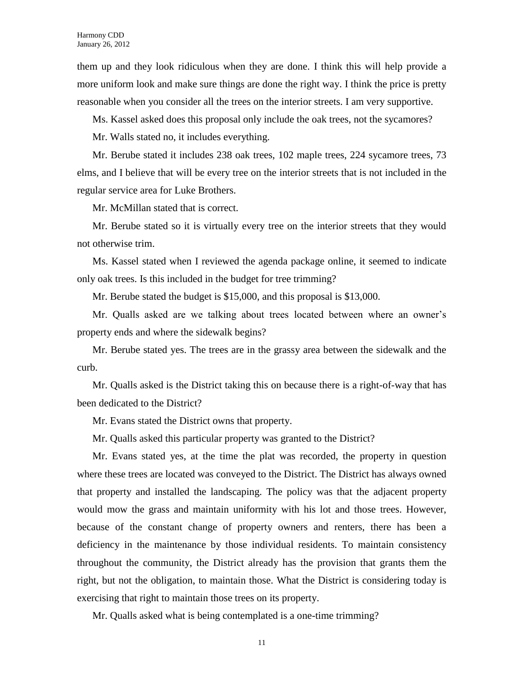them up and they look ridiculous when they are done. I think this will help provide a more uniform look and make sure things are done the right way. I think the price is pretty reasonable when you consider all the trees on the interior streets. I am very supportive.

Ms. Kassel asked does this proposal only include the oak trees, not the sycamores?

Mr. Walls stated no, it includes everything.

Mr. Berube stated it includes 238 oak trees, 102 maple trees, 224 sycamore trees, 73 elms, and I believe that will be every tree on the interior streets that is not included in the regular service area for Luke Brothers.

Mr. McMillan stated that is correct.

Mr. Berube stated so it is virtually every tree on the interior streets that they would not otherwise trim.

Ms. Kassel stated when I reviewed the agenda package online, it seemed to indicate only oak trees. Is this included in the budget for tree trimming?

Mr. Berube stated the budget is \$15,000, and this proposal is \$13,000.

Mr. Qualls asked are we talking about trees located between where an owner's property ends and where the sidewalk begins?

Mr. Berube stated yes. The trees are in the grassy area between the sidewalk and the curb.

Mr. Qualls asked is the District taking this on because there is a right-of-way that has been dedicated to the District?

Mr. Evans stated the District owns that property.

Mr. Qualls asked this particular property was granted to the District?

Mr. Evans stated yes, at the time the plat was recorded, the property in question where these trees are located was conveyed to the District. The District has always owned that property and installed the landscaping. The policy was that the adjacent property would mow the grass and maintain uniformity with his lot and those trees. However, because of the constant change of property owners and renters, there has been a deficiency in the maintenance by those individual residents. To maintain consistency throughout the community, the District already has the provision that grants them the right, but not the obligation, to maintain those. What the District is considering today is exercising that right to maintain those trees on its property.

Mr. Qualls asked what is being contemplated is a one-time trimming?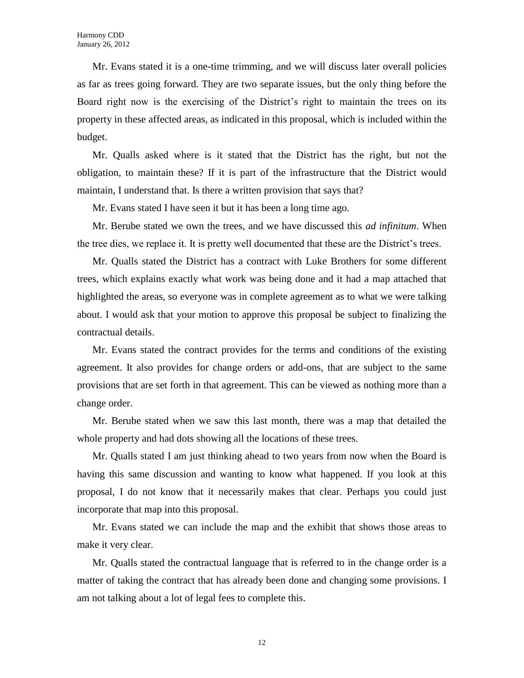Mr. Evans stated it is a one-time trimming, and we will discuss later overall policies as far as trees going forward. They are two separate issues, but the only thing before the Board right now is the exercising of the District's right to maintain the trees on its property in these affected areas, as indicated in this proposal, which is included within the budget.

Mr. Qualls asked where is it stated that the District has the right, but not the obligation, to maintain these? If it is part of the infrastructure that the District would maintain, I understand that. Is there a written provision that says that?

Mr. Evans stated I have seen it but it has been a long time ago.

Mr. Berube stated we own the trees, and we have discussed this *ad infinitum*. When the tree dies, we replace it. It is pretty well documented that these are the District's trees.

Mr. Qualls stated the District has a contract with Luke Brothers for some different trees, which explains exactly what work was being done and it had a map attached that highlighted the areas, so everyone was in complete agreement as to what we were talking about. I would ask that your motion to approve this proposal be subject to finalizing the contractual details.

Mr. Evans stated the contract provides for the terms and conditions of the existing agreement. It also provides for change orders or add-ons, that are subject to the same provisions that are set forth in that agreement. This can be viewed as nothing more than a change order.

Mr. Berube stated when we saw this last month, there was a map that detailed the whole property and had dots showing all the locations of these trees.

Mr. Qualls stated I am just thinking ahead to two years from now when the Board is having this same discussion and wanting to know what happened. If you look at this proposal, I do not know that it necessarily makes that clear. Perhaps you could just incorporate that map into this proposal.

Mr. Evans stated we can include the map and the exhibit that shows those areas to make it very clear.

Mr. Qualls stated the contractual language that is referred to in the change order is a matter of taking the contract that has already been done and changing some provisions. I am not talking about a lot of legal fees to complete this.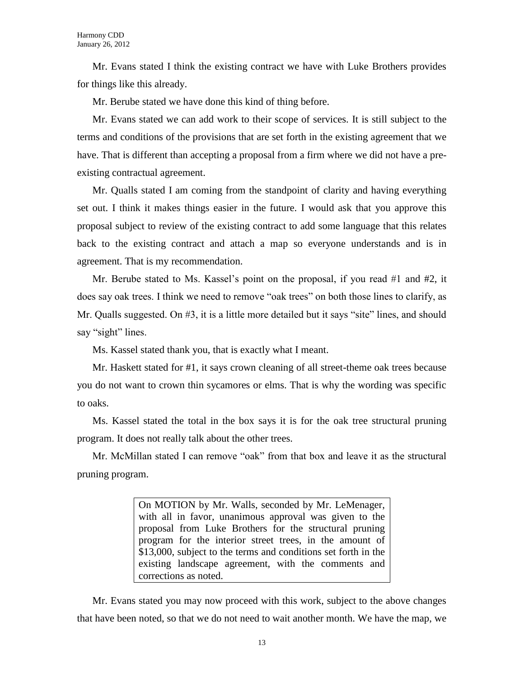Mr. Evans stated I think the existing contract we have with Luke Brothers provides for things like this already.

Mr. Berube stated we have done this kind of thing before.

Mr. Evans stated we can add work to their scope of services. It is still subject to the terms and conditions of the provisions that are set forth in the existing agreement that we have. That is different than accepting a proposal from a firm where we did not have a preexisting contractual agreement.

Mr. Qualls stated I am coming from the standpoint of clarity and having everything set out. I think it makes things easier in the future. I would ask that you approve this proposal subject to review of the existing contract to add some language that this relates back to the existing contract and attach a map so everyone understands and is in agreement. That is my recommendation.

Mr. Berube stated to Ms. Kassel's point on the proposal, if you read #1 and #2, it does say oak trees. I think we need to remove "oak trees" on both those lines to clarify, as Mr. Qualls suggested. On #3, it is a little more detailed but it says "site" lines, and should say "sight" lines.

Ms. Kassel stated thank you, that is exactly what I meant.

Mr. Haskett stated for #1, it says crown cleaning of all street-theme oak trees because you do not want to crown thin sycamores or elms. That is why the wording was specific to oaks.

Ms. Kassel stated the total in the box says it is for the oak tree structural pruning program. It does not really talk about the other trees.

Mr. McMillan stated I can remove "oak" from that box and leave it as the structural pruning program.

> On MOTION by Mr. Walls, seconded by Mr. LeMenager, with all in favor, unanimous approval was given to the proposal from Luke Brothers for the structural pruning program for the interior street trees, in the amount of \$13,000, subject to the terms and conditions set forth in the existing landscape agreement, with the comments and corrections as noted.

Mr. Evans stated you may now proceed with this work, subject to the above changes that have been noted, so that we do not need to wait another month. We have the map, we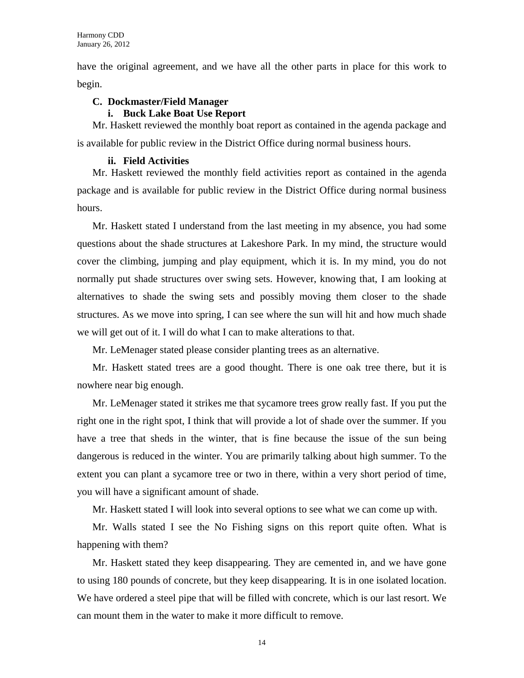have the original agreement, and we have all the other parts in place for this work to begin.

# **C. Dockmaster/Field Manager**

### **i. Buck Lake Boat Use Report**

Mr. Haskett reviewed the monthly boat report as contained in the agenda package and is available for public review in the District Office during normal business hours.

## **ii. Field Activities**

Mr. Haskett reviewed the monthly field activities report as contained in the agenda package and is available for public review in the District Office during normal business hours.

Mr. Haskett stated I understand from the last meeting in my absence, you had some questions about the shade structures at Lakeshore Park. In my mind, the structure would cover the climbing, jumping and play equipment, which it is. In my mind, you do not normally put shade structures over swing sets. However, knowing that, I am looking at alternatives to shade the swing sets and possibly moving them closer to the shade structures. As we move into spring, I can see where the sun will hit and how much shade we will get out of it. I will do what I can to make alterations to that.

Mr. LeMenager stated please consider planting trees as an alternative.

Mr. Haskett stated trees are a good thought. There is one oak tree there, but it is nowhere near big enough.

Mr. LeMenager stated it strikes me that sycamore trees grow really fast. If you put the right one in the right spot, I think that will provide a lot of shade over the summer. If you have a tree that sheds in the winter, that is fine because the issue of the sun being dangerous is reduced in the winter. You are primarily talking about high summer. To the extent you can plant a sycamore tree or two in there, within a very short period of time, you will have a significant amount of shade.

Mr. Haskett stated I will look into several options to see what we can come up with.

Mr. Walls stated I see the No Fishing signs on this report quite often. What is happening with them?

Mr. Haskett stated they keep disappearing. They are cemented in, and we have gone to using 180 pounds of concrete, but they keep disappearing. It is in one isolated location. We have ordered a steel pipe that will be filled with concrete, which is our last resort. We can mount them in the water to make it more difficult to remove.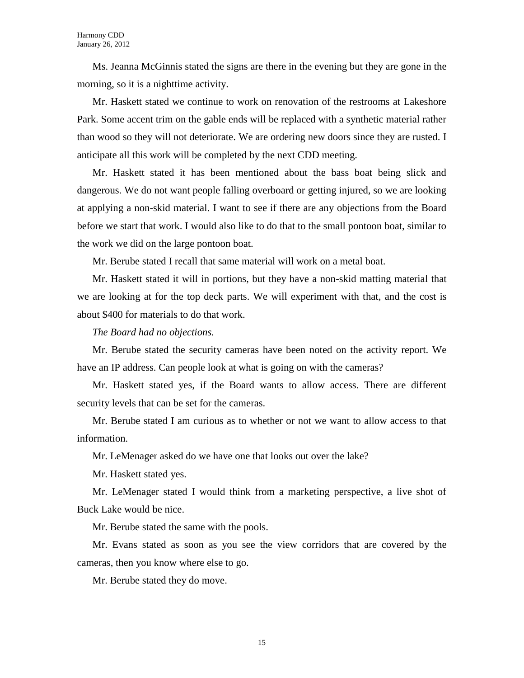Ms. Jeanna McGinnis stated the signs are there in the evening but they are gone in the morning, so it is a nighttime activity.

Mr. Haskett stated we continue to work on renovation of the restrooms at Lakeshore Park. Some accent trim on the gable ends will be replaced with a synthetic material rather than wood so they will not deteriorate. We are ordering new doors since they are rusted. I anticipate all this work will be completed by the next CDD meeting.

Mr. Haskett stated it has been mentioned about the bass boat being slick and dangerous. We do not want people falling overboard or getting injured, so we are looking at applying a non-skid material. I want to see if there are any objections from the Board before we start that work. I would also like to do that to the small pontoon boat, similar to the work we did on the large pontoon boat.

Mr. Berube stated I recall that same material will work on a metal boat.

Mr. Haskett stated it will in portions, but they have a non-skid matting material that we are looking at for the top deck parts. We will experiment with that, and the cost is about \$400 for materials to do that work.

*The Board had no objections.*

Mr. Berube stated the security cameras have been noted on the activity report. We have an IP address. Can people look at what is going on with the cameras?

Mr. Haskett stated yes, if the Board wants to allow access. There are different security levels that can be set for the cameras.

Mr. Berube stated I am curious as to whether or not we want to allow access to that information.

Mr. LeMenager asked do we have one that looks out over the lake?

Mr. Haskett stated yes.

Mr. LeMenager stated I would think from a marketing perspective, a live shot of Buck Lake would be nice.

Mr. Berube stated the same with the pools.

Mr. Evans stated as soon as you see the view corridors that are covered by the cameras, then you know where else to go.

Mr. Berube stated they do move.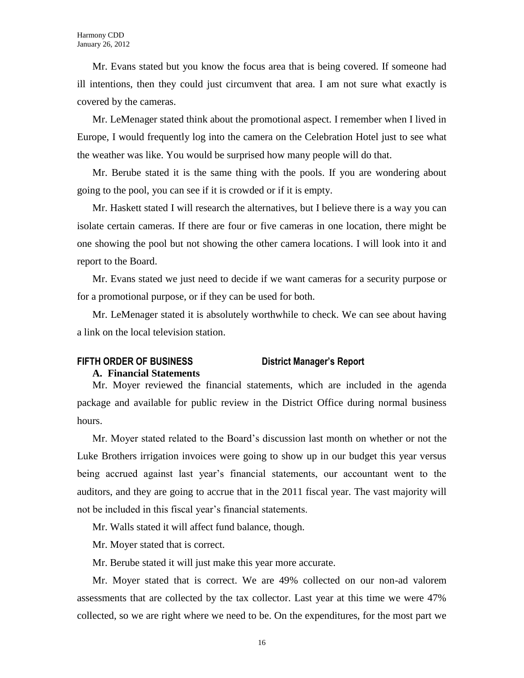Mr. Evans stated but you know the focus area that is being covered. If someone had ill intentions, then they could just circumvent that area. I am not sure what exactly is covered by the cameras.

Mr. LeMenager stated think about the promotional aspect. I remember when I lived in Europe, I would frequently log into the camera on the Celebration Hotel just to see what the weather was like. You would be surprised how many people will do that.

Mr. Berube stated it is the same thing with the pools. If you are wondering about going to the pool, you can see if it is crowded or if it is empty.

Mr. Haskett stated I will research the alternatives, but I believe there is a way you can isolate certain cameras. If there are four or five cameras in one location, there might be one showing the pool but not showing the other camera locations. I will look into it and report to the Board.

Mr. Evans stated we just need to decide if we want cameras for a security purpose or for a promotional purpose, or if they can be used for both.

Mr. LeMenager stated it is absolutely worthwhile to check. We can see about having a link on the local television station.

# **FIFTH ORDER OF BUSINESS District Manager's Report**

#### **A. Financial Statements**

# Mr. Moyer reviewed the financial statements, which are included in the agenda package and available for public review in the District Office during normal business hours.

Mr. Moyer stated related to the Board's discussion last month on whether or not the Luke Brothers irrigation invoices were going to show up in our budget this year versus being accrued against last year's financial statements, our accountant went to the auditors, and they are going to accrue that in the 2011 fiscal year. The vast majority will not be included in this fiscal year's financial statements.

Mr. Walls stated it will affect fund balance, though.

Mr. Moyer stated that is correct.

Mr. Berube stated it will just make this year more accurate.

Mr. Moyer stated that is correct. We are 49% collected on our non-ad valorem assessments that are collected by the tax collector. Last year at this time we were 47% collected, so we are right where we need to be. On the expenditures, for the most part we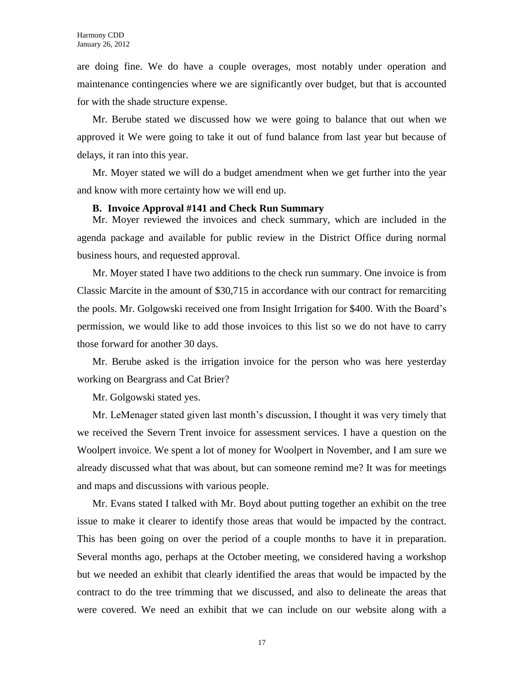are doing fine. We do have a couple overages, most notably under operation and maintenance contingencies where we are significantly over budget, but that is accounted for with the shade structure expense.

Mr. Berube stated we discussed how we were going to balance that out when we approved it We were going to take it out of fund balance from last year but because of delays, it ran into this year.

Mr. Moyer stated we will do a budget amendment when we get further into the year and know with more certainty how we will end up.

#### **B. Invoice Approval #141 and Check Run Summary**

Mr. Moyer reviewed the invoices and check summary, which are included in the agenda package and available for public review in the District Office during normal business hours, and requested approval.

Mr. Moyer stated I have two additions to the check run summary. One invoice is from Classic Marcite in the amount of \$30,715 in accordance with our contract for remarciting the pools. Mr. Golgowski received one from Insight Irrigation for \$400. With the Board's permission, we would like to add those invoices to this list so we do not have to carry those forward for another 30 days.

Mr. Berube asked is the irrigation invoice for the person who was here yesterday working on Beargrass and Cat Brier?

Mr. Golgowski stated yes.

Mr. LeMenager stated given last month's discussion, I thought it was very timely that we received the Severn Trent invoice for assessment services. I have a question on the Woolpert invoice. We spent a lot of money for Woolpert in November, and I am sure we already discussed what that was about, but can someone remind me? It was for meetings and maps and discussions with various people.

Mr. Evans stated I talked with Mr. Boyd about putting together an exhibit on the tree issue to make it clearer to identify those areas that would be impacted by the contract. This has been going on over the period of a couple months to have it in preparation. Several months ago, perhaps at the October meeting, we considered having a workshop but we needed an exhibit that clearly identified the areas that would be impacted by the contract to do the tree trimming that we discussed, and also to delineate the areas that were covered. We need an exhibit that we can include on our website along with a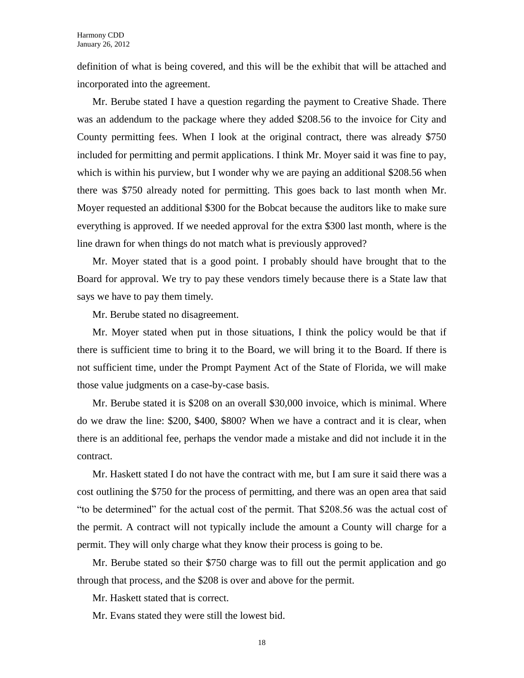definition of what is being covered, and this will be the exhibit that will be attached and incorporated into the agreement.

Mr. Berube stated I have a question regarding the payment to Creative Shade. There was an addendum to the package where they added \$208.56 to the invoice for City and County permitting fees. When I look at the original contract, there was already \$750 included for permitting and permit applications. I think Mr. Moyer said it was fine to pay, which is within his purview, but I wonder why we are paying an additional \$208.56 when there was \$750 already noted for permitting. This goes back to last month when Mr. Moyer requested an additional \$300 for the Bobcat because the auditors like to make sure everything is approved. If we needed approval for the extra \$300 last month, where is the line drawn for when things do not match what is previously approved?

Mr. Moyer stated that is a good point. I probably should have brought that to the Board for approval. We try to pay these vendors timely because there is a State law that says we have to pay them timely.

Mr. Berube stated no disagreement.

Mr. Moyer stated when put in those situations, I think the policy would be that if there is sufficient time to bring it to the Board, we will bring it to the Board. If there is not sufficient time, under the Prompt Payment Act of the State of Florida, we will make those value judgments on a case-by-case basis.

Mr. Berube stated it is \$208 on an overall \$30,000 invoice, which is minimal. Where do we draw the line: \$200, \$400, \$800? When we have a contract and it is clear, when there is an additional fee, perhaps the vendor made a mistake and did not include it in the contract.

Mr. Haskett stated I do not have the contract with me, but I am sure it said there was a cost outlining the \$750 for the process of permitting, and there was an open area that said "to be determined" for the actual cost of the permit. That \$208.56 was the actual cost of the permit. A contract will not typically include the amount a County will charge for a permit. They will only charge what they know their process is going to be.

Mr. Berube stated so their \$750 charge was to fill out the permit application and go through that process, and the \$208 is over and above for the permit.

Mr. Haskett stated that is correct.

Mr. Evans stated they were still the lowest bid.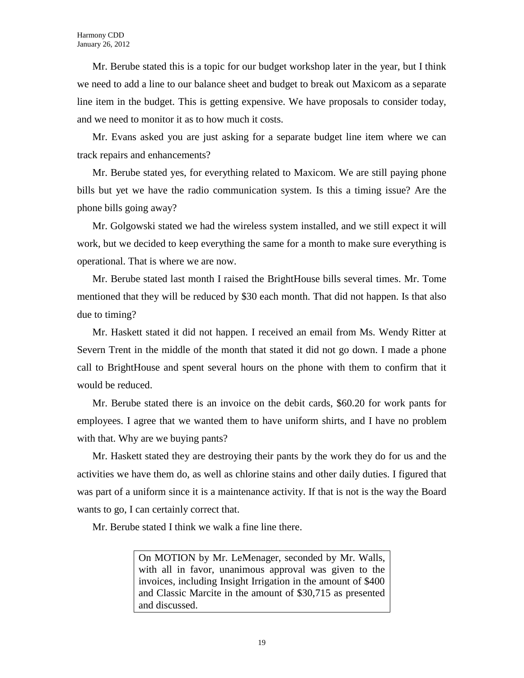Mr. Berube stated this is a topic for our budget workshop later in the year, but I think we need to add a line to our balance sheet and budget to break out Maxicom as a separate line item in the budget. This is getting expensive. We have proposals to consider today, and we need to monitor it as to how much it costs.

Mr. Evans asked you are just asking for a separate budget line item where we can track repairs and enhancements?

Mr. Berube stated yes, for everything related to Maxicom. We are still paying phone bills but yet we have the radio communication system. Is this a timing issue? Are the phone bills going away?

Mr. Golgowski stated we had the wireless system installed, and we still expect it will work, but we decided to keep everything the same for a month to make sure everything is operational. That is where we are now.

Mr. Berube stated last month I raised the BrightHouse bills several times. Mr. Tome mentioned that they will be reduced by \$30 each month. That did not happen. Is that also due to timing?

Mr. Haskett stated it did not happen. I received an email from Ms. Wendy Ritter at Severn Trent in the middle of the month that stated it did not go down. I made a phone call to BrightHouse and spent several hours on the phone with them to confirm that it would be reduced.

Mr. Berube stated there is an invoice on the debit cards, \$60.20 for work pants for employees. I agree that we wanted them to have uniform shirts, and I have no problem with that. Why are we buying pants?

Mr. Haskett stated they are destroying their pants by the work they do for us and the activities we have them do, as well as chlorine stains and other daily duties. I figured that was part of a uniform since it is a maintenance activity. If that is not is the way the Board wants to go, I can certainly correct that.

Mr. Berube stated I think we walk a fine line there.

On MOTION by Mr. LeMenager, seconded by Mr. Walls, with all in favor, unanimous approval was given to the invoices, including Insight Irrigation in the amount of \$400 and Classic Marcite in the amount of \$30,715 as presented and discussed.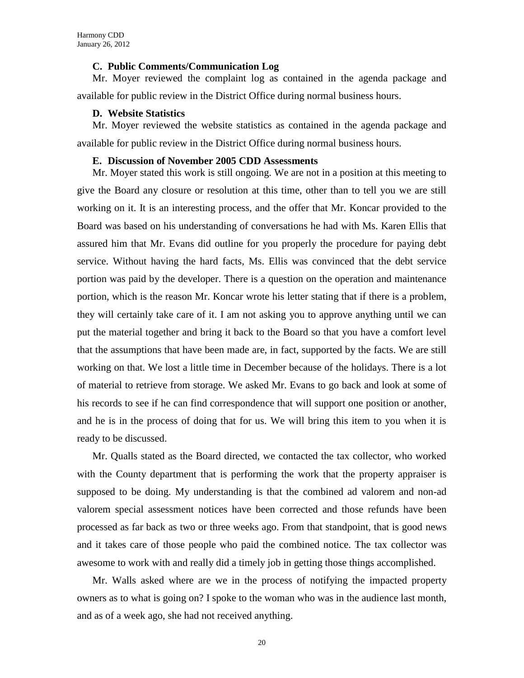#### **C. Public Comments/Communication Log**

Mr. Moyer reviewed the complaint log as contained in the agenda package and available for public review in the District Office during normal business hours.

#### **D. Website Statistics**

Mr. Moyer reviewed the website statistics as contained in the agenda package and available for public review in the District Office during normal business hours.

#### **E. Discussion of November 2005 CDD Assessments**

Mr. Moyer stated this work is still ongoing. We are not in a position at this meeting to give the Board any closure or resolution at this time, other than to tell you we are still working on it. It is an interesting process, and the offer that Mr. Koncar provided to the Board was based on his understanding of conversations he had with Ms. Karen Ellis that assured him that Mr. Evans did outline for you properly the procedure for paying debt service. Without having the hard facts, Ms. Ellis was convinced that the debt service portion was paid by the developer. There is a question on the operation and maintenance portion, which is the reason Mr. Koncar wrote his letter stating that if there is a problem, they will certainly take care of it. I am not asking you to approve anything until we can put the material together and bring it back to the Board so that you have a comfort level that the assumptions that have been made are, in fact, supported by the facts. We are still working on that. We lost a little time in December because of the holidays. There is a lot of material to retrieve from storage. We asked Mr. Evans to go back and look at some of his records to see if he can find correspondence that will support one position or another, and he is in the process of doing that for us. We will bring this item to you when it is ready to be discussed.

Mr. Qualls stated as the Board directed, we contacted the tax collector, who worked with the County department that is performing the work that the property appraiser is supposed to be doing. My understanding is that the combined ad valorem and non-ad valorem special assessment notices have been corrected and those refunds have been processed as far back as two or three weeks ago. From that standpoint, that is good news and it takes care of those people who paid the combined notice. The tax collector was awesome to work with and really did a timely job in getting those things accomplished.

Mr. Walls asked where are we in the process of notifying the impacted property owners as to what is going on? I spoke to the woman who was in the audience last month, and as of a week ago, she had not received anything.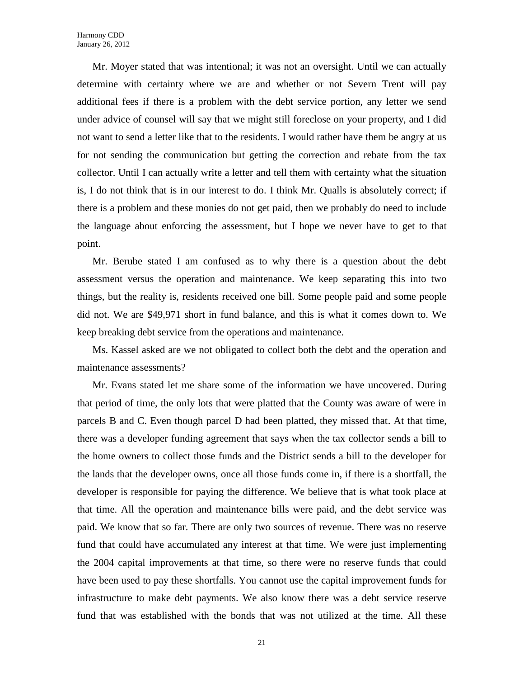Mr. Moyer stated that was intentional; it was not an oversight. Until we can actually determine with certainty where we are and whether or not Severn Trent will pay additional fees if there is a problem with the debt service portion, any letter we send under advice of counsel will say that we might still foreclose on your property, and I did not want to send a letter like that to the residents. I would rather have them be angry at us for not sending the communication but getting the correction and rebate from the tax collector. Until I can actually write a letter and tell them with certainty what the situation is, I do not think that is in our interest to do. I think Mr. Qualls is absolutely correct; if there is a problem and these monies do not get paid, then we probably do need to include the language about enforcing the assessment, but I hope we never have to get to that point.

Mr. Berube stated I am confused as to why there is a question about the debt assessment versus the operation and maintenance. We keep separating this into two things, but the reality is, residents received one bill. Some people paid and some people did not. We are \$49,971 short in fund balance, and this is what it comes down to. We keep breaking debt service from the operations and maintenance.

Ms. Kassel asked are we not obligated to collect both the debt and the operation and maintenance assessments?

Mr. Evans stated let me share some of the information we have uncovered. During that period of time, the only lots that were platted that the County was aware of were in parcels B and C. Even though parcel D had been platted, they missed that. At that time, there was a developer funding agreement that says when the tax collector sends a bill to the home owners to collect those funds and the District sends a bill to the developer for the lands that the developer owns, once all those funds come in, if there is a shortfall, the developer is responsible for paying the difference. We believe that is what took place at that time. All the operation and maintenance bills were paid, and the debt service was paid. We know that so far. There are only two sources of revenue. There was no reserve fund that could have accumulated any interest at that time. We were just implementing the 2004 capital improvements at that time, so there were no reserve funds that could have been used to pay these shortfalls. You cannot use the capital improvement funds for infrastructure to make debt payments. We also know there was a debt service reserve fund that was established with the bonds that was not utilized at the time. All these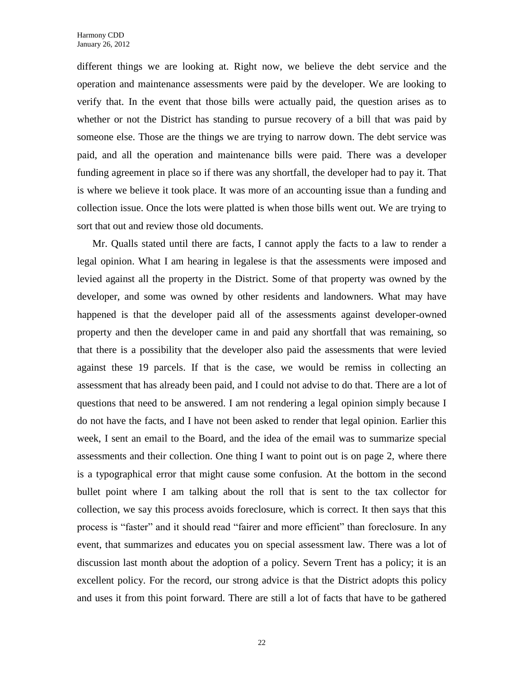different things we are looking at. Right now, we believe the debt service and the operation and maintenance assessments were paid by the developer. We are looking to verify that. In the event that those bills were actually paid, the question arises as to whether or not the District has standing to pursue recovery of a bill that was paid by someone else. Those are the things we are trying to narrow down. The debt service was paid, and all the operation and maintenance bills were paid. There was a developer funding agreement in place so if there was any shortfall, the developer had to pay it. That is where we believe it took place. It was more of an accounting issue than a funding and collection issue. Once the lots were platted is when those bills went out. We are trying to sort that out and review those old documents.

Mr. Qualls stated until there are facts, I cannot apply the facts to a law to render a legal opinion. What I am hearing in legalese is that the assessments were imposed and levied against all the property in the District. Some of that property was owned by the developer, and some was owned by other residents and landowners. What may have happened is that the developer paid all of the assessments against developer-owned property and then the developer came in and paid any shortfall that was remaining, so that there is a possibility that the developer also paid the assessments that were levied against these 19 parcels. If that is the case, we would be remiss in collecting an assessment that has already been paid, and I could not advise to do that. There are a lot of questions that need to be answered. I am not rendering a legal opinion simply because I do not have the facts, and I have not been asked to render that legal opinion. Earlier this week, I sent an email to the Board, and the idea of the email was to summarize special assessments and their collection. One thing I want to point out is on page 2, where there is a typographical error that might cause some confusion. At the bottom in the second bullet point where I am talking about the roll that is sent to the tax collector for collection, we say this process avoids foreclosure, which is correct. It then says that this process is "faster" and it should read "fairer and more efficient" than foreclosure. In any event, that summarizes and educates you on special assessment law. There was a lot of discussion last month about the adoption of a policy. Severn Trent has a policy; it is an excellent policy. For the record, our strong advice is that the District adopts this policy and uses it from this point forward. There are still a lot of facts that have to be gathered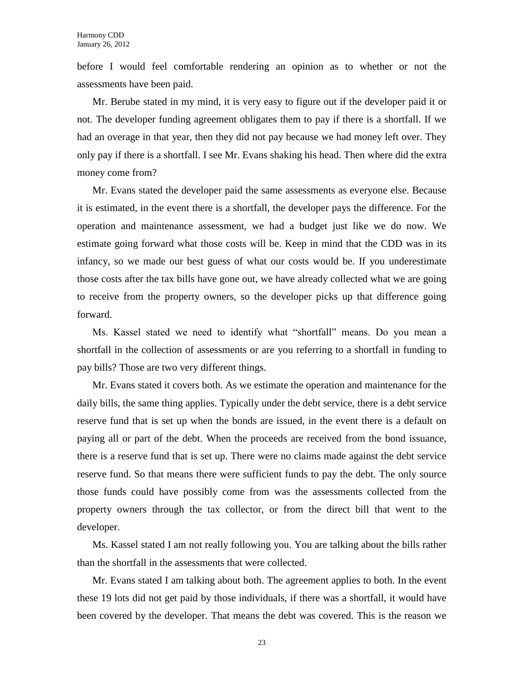before I would feel comfortable rendering an opinion as to whether or not the assessments have been paid.

Mr. Berube stated in my mind, it is very easy to figure out if the developer paid it or not. The developer funding agreement obligates them to pay if there is a shortfall. If we had an overage in that year, then they did not pay because we had money left over. They only pay if there is a shortfall. I see Mr. Evans shaking his head. Then where did the extra money come from?

Mr. Evans stated the developer paid the same assessments as everyone else. Because it is estimated, in the event there is a shortfall, the developer pays the difference. For the operation and maintenance assessment, we had a budget just like we do now. We estimate going forward what those costs will be. Keep in mind that the CDD was in its infancy, so we made our best guess of what our costs would be. If you underestimate those costs after the tax bills have gone out, we have already collected what we are going to receive from the property owners, so the developer picks up that difference going forward.

Ms. Kassel stated we need to identify what "shortfall" means. Do you mean a shortfall in the collection of assessments or are you referring to a shortfall in funding to pay bills? Those are two very different things.

Mr. Evans stated it covers both. As we estimate the operation and maintenance for the daily bills, the same thing applies. Typically under the debt service, there is a debt service reserve fund that is set up when the bonds are issued, in the event there is a default on paying all or part of the debt. When the proceeds are received from the bond issuance, there is a reserve fund that is set up. There were no claims made against the debt service reserve fund. So that means there were sufficient funds to pay the debt. The only source those funds could have possibly come from was the assessments collected from the property owners through the tax collector, or from the direct bill that went to the developer.

Ms. Kassel stated I am not really following you. You are talking about the bills rather than the shortfall in the assessments that were collected.

Mr. Evans stated I am talking about both. The agreement applies to both. In the event these 19 lots did not get paid by those individuals, if there was a shortfall, it would have been covered by the developer. That means the debt was covered. This is the reason we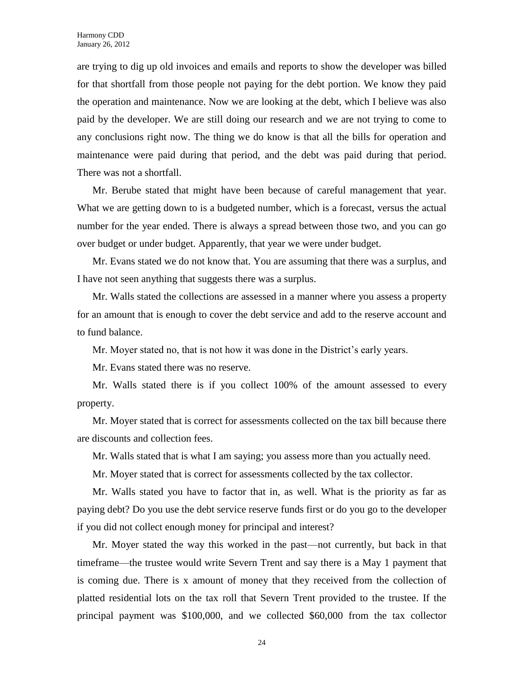are trying to dig up old invoices and emails and reports to show the developer was billed for that shortfall from those people not paying for the debt portion. We know they paid the operation and maintenance. Now we are looking at the debt, which I believe was also paid by the developer. We are still doing our research and we are not trying to come to any conclusions right now. The thing we do know is that all the bills for operation and maintenance were paid during that period, and the debt was paid during that period. There was not a shortfall.

Mr. Berube stated that might have been because of careful management that year. What we are getting down to is a budgeted number, which is a forecast, versus the actual number for the year ended. There is always a spread between those two, and you can go over budget or under budget. Apparently, that year we were under budget.

Mr. Evans stated we do not know that. You are assuming that there was a surplus, and I have not seen anything that suggests there was a surplus.

Mr. Walls stated the collections are assessed in a manner where you assess a property for an amount that is enough to cover the debt service and add to the reserve account and to fund balance.

Mr. Moyer stated no, that is not how it was done in the District's early years.

Mr. Evans stated there was no reserve.

Mr. Walls stated there is if you collect 100% of the amount assessed to every property.

Mr. Moyer stated that is correct for assessments collected on the tax bill because there are discounts and collection fees.

Mr. Walls stated that is what I am saying; you assess more than you actually need.

Mr. Moyer stated that is correct for assessments collected by the tax collector.

Mr. Walls stated you have to factor that in, as well. What is the priority as far as paying debt? Do you use the debt service reserve funds first or do you go to the developer if you did not collect enough money for principal and interest?

Mr. Moyer stated the way this worked in the past—not currently, but back in that timeframe—the trustee would write Severn Trent and say there is a May 1 payment that is coming due. There is x amount of money that they received from the collection of platted residential lots on the tax roll that Severn Trent provided to the trustee. If the principal payment was \$100,000, and we collected \$60,000 from the tax collector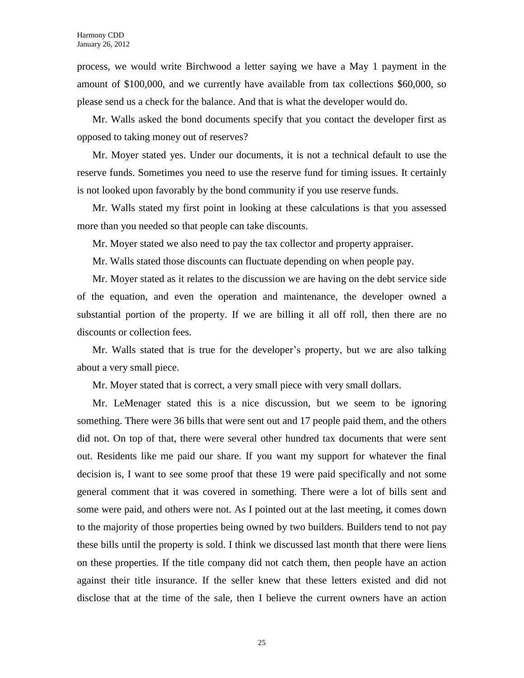process, we would write Birchwood a letter saying we have a May 1 payment in the amount of \$100,000, and we currently have available from tax collections \$60,000, so please send us a check for the balance. And that is what the developer would do.

Mr. Walls asked the bond documents specify that you contact the developer first as opposed to taking money out of reserves?

Mr. Moyer stated yes. Under our documents, it is not a technical default to use the reserve funds. Sometimes you need to use the reserve fund for timing issues. It certainly is not looked upon favorably by the bond community if you use reserve funds.

Mr. Walls stated my first point in looking at these calculations is that you assessed more than you needed so that people can take discounts.

Mr. Moyer stated we also need to pay the tax collector and property appraiser.

Mr. Walls stated those discounts can fluctuate depending on when people pay.

Mr. Moyer stated as it relates to the discussion we are having on the debt service side of the equation, and even the operation and maintenance, the developer owned a substantial portion of the property. If we are billing it all off roll, then there are no discounts or collection fees.

Mr. Walls stated that is true for the developer's property, but we are also talking about a very small piece.

Mr. Moyer stated that is correct, a very small piece with very small dollars.

Mr. LeMenager stated this is a nice discussion, but we seem to be ignoring something. There were 36 bills that were sent out and 17 people paid them, and the others did not. On top of that, there were several other hundred tax documents that were sent out. Residents like me paid our share. If you want my support for whatever the final decision is, I want to see some proof that these 19 were paid specifically and not some general comment that it was covered in something. There were a lot of bills sent and some were paid, and others were not. As I pointed out at the last meeting, it comes down to the majority of those properties being owned by two builders. Builders tend to not pay these bills until the property is sold. I think we discussed last month that there were liens on these properties. If the title company did not catch them, then people have an action against their title insurance. If the seller knew that these letters existed and did not disclose that at the time of the sale, then I believe the current owners have an action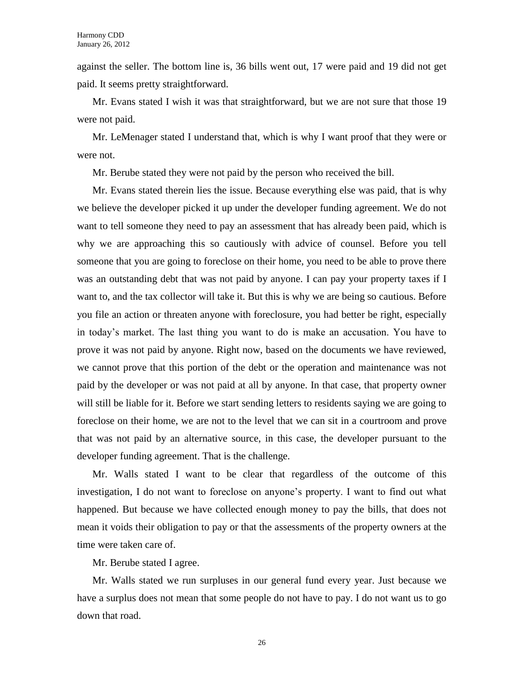against the seller. The bottom line is, 36 bills went out, 17 were paid and 19 did not get paid. It seems pretty straightforward.

Mr. Evans stated I wish it was that straightforward, but we are not sure that those 19 were not paid.

Mr. LeMenager stated I understand that, which is why I want proof that they were or were not.

Mr. Berube stated they were not paid by the person who received the bill.

Mr. Evans stated therein lies the issue. Because everything else was paid, that is why we believe the developer picked it up under the developer funding agreement. We do not want to tell someone they need to pay an assessment that has already been paid, which is why we are approaching this so cautiously with advice of counsel. Before you tell someone that you are going to foreclose on their home, you need to be able to prove there was an outstanding debt that was not paid by anyone. I can pay your property taxes if I want to, and the tax collector will take it. But this is why we are being so cautious. Before you file an action or threaten anyone with foreclosure, you had better be right, especially in today's market. The last thing you want to do is make an accusation. You have to prove it was not paid by anyone. Right now, based on the documents we have reviewed, we cannot prove that this portion of the debt or the operation and maintenance was not paid by the developer or was not paid at all by anyone. In that case, that property owner will still be liable for it. Before we start sending letters to residents saying we are going to foreclose on their home, we are not to the level that we can sit in a courtroom and prove that was not paid by an alternative source, in this case, the developer pursuant to the developer funding agreement. That is the challenge.

Mr. Walls stated I want to be clear that regardless of the outcome of this investigation, I do not want to foreclose on anyone's property. I want to find out what happened. But because we have collected enough money to pay the bills, that does not mean it voids their obligation to pay or that the assessments of the property owners at the time were taken care of.

Mr. Berube stated I agree.

Mr. Walls stated we run surpluses in our general fund every year. Just because we have a surplus does not mean that some people do not have to pay. I do not want us to go down that road.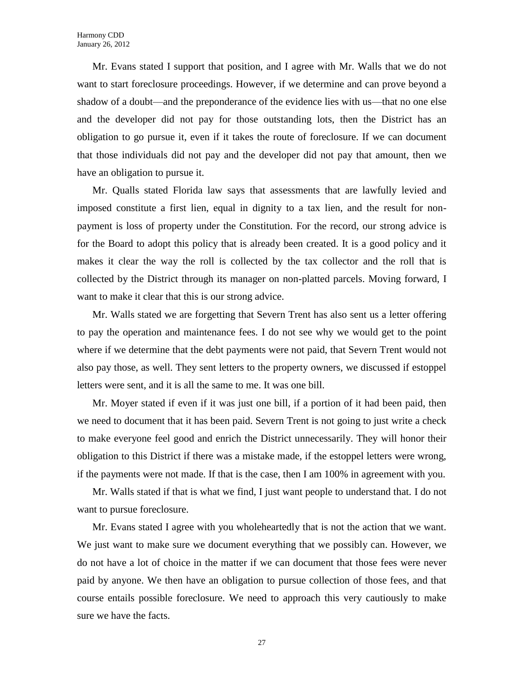Mr. Evans stated I support that position, and I agree with Mr. Walls that we do not want to start foreclosure proceedings. However, if we determine and can prove beyond a shadow of a doubt—and the preponderance of the evidence lies with us—that no one else and the developer did not pay for those outstanding lots, then the District has an obligation to go pursue it, even if it takes the route of foreclosure. If we can document that those individuals did not pay and the developer did not pay that amount, then we have an obligation to pursue it.

Mr. Qualls stated Florida law says that assessments that are lawfully levied and imposed constitute a first lien, equal in dignity to a tax lien, and the result for nonpayment is loss of property under the Constitution. For the record, our strong advice is for the Board to adopt this policy that is already been created. It is a good policy and it makes it clear the way the roll is collected by the tax collector and the roll that is collected by the District through its manager on non-platted parcels. Moving forward, I want to make it clear that this is our strong advice.

Mr. Walls stated we are forgetting that Severn Trent has also sent us a letter offering to pay the operation and maintenance fees. I do not see why we would get to the point where if we determine that the debt payments were not paid, that Severn Trent would not also pay those, as well. They sent letters to the property owners, we discussed if estoppel letters were sent, and it is all the same to me. It was one bill.

Mr. Moyer stated if even if it was just one bill, if a portion of it had been paid, then we need to document that it has been paid. Severn Trent is not going to just write a check to make everyone feel good and enrich the District unnecessarily. They will honor their obligation to this District if there was a mistake made, if the estoppel letters were wrong, if the payments were not made. If that is the case, then I am 100% in agreement with you.

Mr. Walls stated if that is what we find, I just want people to understand that. I do not want to pursue foreclosure.

Mr. Evans stated I agree with you wholeheartedly that is not the action that we want. We just want to make sure we document everything that we possibly can. However, we do not have a lot of choice in the matter if we can document that those fees were never paid by anyone. We then have an obligation to pursue collection of those fees, and that course entails possible foreclosure. We need to approach this very cautiously to make sure we have the facts.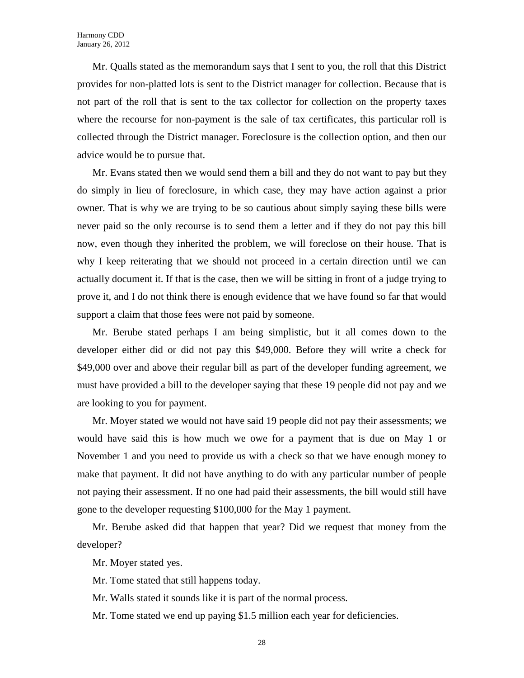Mr. Qualls stated as the memorandum says that I sent to you, the roll that this District provides for non-platted lots is sent to the District manager for collection. Because that is not part of the roll that is sent to the tax collector for collection on the property taxes where the recourse for non-payment is the sale of tax certificates, this particular roll is collected through the District manager. Foreclosure is the collection option, and then our advice would be to pursue that.

Mr. Evans stated then we would send them a bill and they do not want to pay but they do simply in lieu of foreclosure, in which case, they may have action against a prior owner. That is why we are trying to be so cautious about simply saying these bills were never paid so the only recourse is to send them a letter and if they do not pay this bill now, even though they inherited the problem, we will foreclose on their house. That is why I keep reiterating that we should not proceed in a certain direction until we can actually document it. If that is the case, then we will be sitting in front of a judge trying to prove it, and I do not think there is enough evidence that we have found so far that would support a claim that those fees were not paid by someone.

Mr. Berube stated perhaps I am being simplistic, but it all comes down to the developer either did or did not pay this \$49,000. Before they will write a check for \$49,000 over and above their regular bill as part of the developer funding agreement, we must have provided a bill to the developer saying that these 19 people did not pay and we are looking to you for payment.

Mr. Moyer stated we would not have said 19 people did not pay their assessments; we would have said this is how much we owe for a payment that is due on May 1 or November 1 and you need to provide us with a check so that we have enough money to make that payment. It did not have anything to do with any particular number of people not paying their assessment. If no one had paid their assessments, the bill would still have gone to the developer requesting \$100,000 for the May 1 payment.

Mr. Berube asked did that happen that year? Did we request that money from the developer?

Mr. Moyer stated yes.

Mr. Tome stated that still happens today.

Mr. Walls stated it sounds like it is part of the normal process.

Mr. Tome stated we end up paying \$1.5 million each year for deficiencies.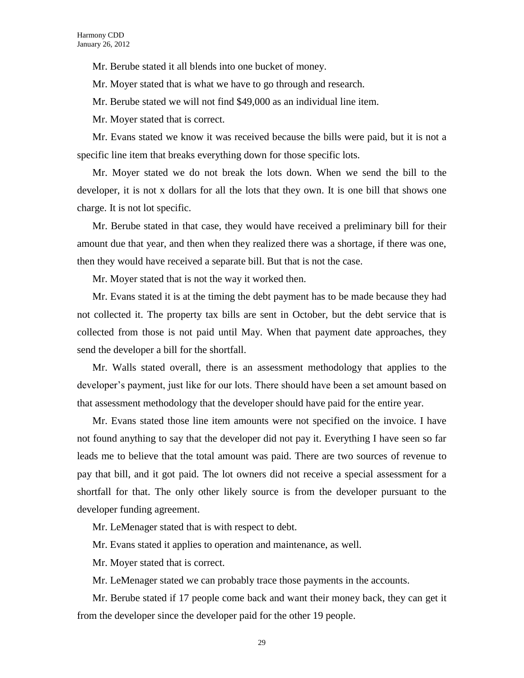Mr. Berube stated it all blends into one bucket of money.

Mr. Moyer stated that is what we have to go through and research.

Mr. Berube stated we will not find \$49,000 as an individual line item.

Mr. Moyer stated that is correct.

Mr. Evans stated we know it was received because the bills were paid, but it is not a specific line item that breaks everything down for those specific lots.

Mr. Moyer stated we do not break the lots down. When we send the bill to the developer, it is not x dollars for all the lots that they own. It is one bill that shows one charge. It is not lot specific.

Mr. Berube stated in that case, they would have received a preliminary bill for their amount due that year, and then when they realized there was a shortage, if there was one, then they would have received a separate bill. But that is not the case.

Mr. Moyer stated that is not the way it worked then.

Mr. Evans stated it is at the timing the debt payment has to be made because they had not collected it. The property tax bills are sent in October, but the debt service that is collected from those is not paid until May. When that payment date approaches, they send the developer a bill for the shortfall.

Mr. Walls stated overall, there is an assessment methodology that applies to the developer's payment, just like for our lots. There should have been a set amount based on that assessment methodology that the developer should have paid for the entire year.

Mr. Evans stated those line item amounts were not specified on the invoice. I have not found anything to say that the developer did not pay it. Everything I have seen so far leads me to believe that the total amount was paid. There are two sources of revenue to pay that bill, and it got paid. The lot owners did not receive a special assessment for a shortfall for that. The only other likely source is from the developer pursuant to the developer funding agreement.

Mr. LeMenager stated that is with respect to debt.

Mr. Evans stated it applies to operation and maintenance, as well.

Mr. Moyer stated that is correct.

Mr. LeMenager stated we can probably trace those payments in the accounts.

Mr. Berube stated if 17 people come back and want their money back, they can get it from the developer since the developer paid for the other 19 people.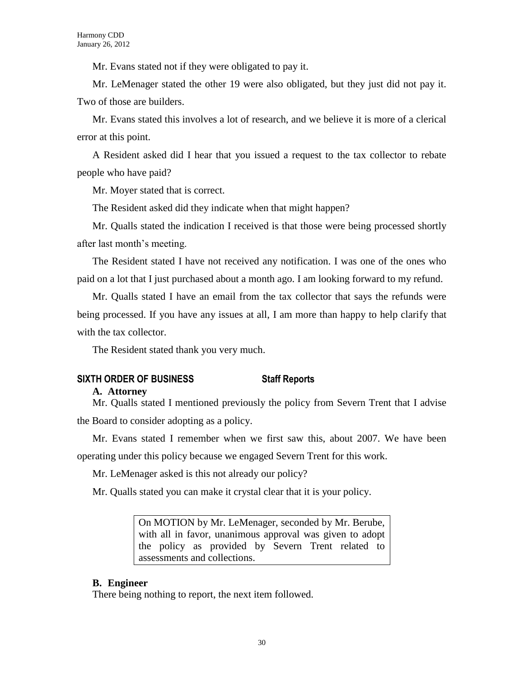Mr. Evans stated not if they were obligated to pay it.

Mr. LeMenager stated the other 19 were also obligated, but they just did not pay it. Two of those are builders.

Mr. Evans stated this involves a lot of research, and we believe it is more of a clerical error at this point.

A Resident asked did I hear that you issued a request to the tax collector to rebate people who have paid?

Mr. Moyer stated that is correct.

The Resident asked did they indicate when that might happen?

Mr. Qualls stated the indication I received is that those were being processed shortly after last month's meeting.

The Resident stated I have not received any notification. I was one of the ones who paid on a lot that I just purchased about a month ago. I am looking forward to my refund.

Mr. Qualls stated I have an email from the tax collector that says the refunds were being processed. If you have any issues at all, I am more than happy to help clarify that with the tax collector.

The Resident stated thank you very much.

# **SIXTH ORDER OF BUSINESS Staff Reports**

#### **A. Attorney**

Mr. Qualls stated I mentioned previously the policy from Severn Trent that I advise the Board to consider adopting as a policy.

Mr. Evans stated I remember when we first saw this, about 2007. We have been operating under this policy because we engaged Severn Trent for this work.

Mr. LeMenager asked is this not already our policy?

Mr. Qualls stated you can make it crystal clear that it is your policy.

On MOTION by Mr. LeMenager, seconded by Mr. Berube, with all in favor, unanimous approval was given to adopt the policy as provided by Severn Trent related to assessments and collections.

#### **B. Engineer**

There being nothing to report, the next item followed.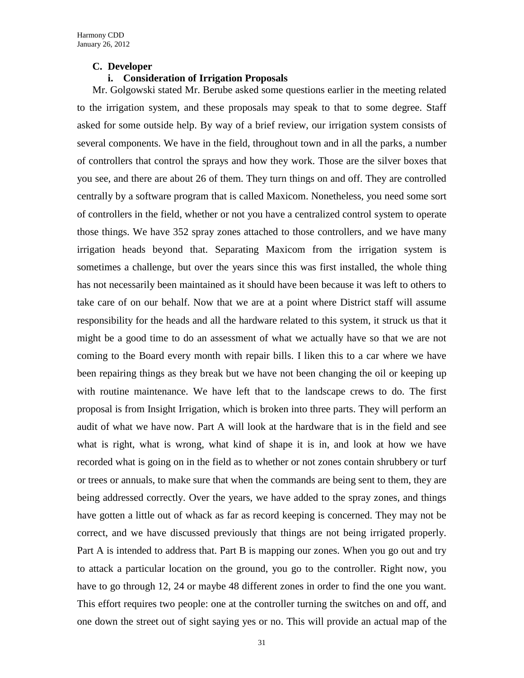#### **C. Developer**

#### **i. Consideration of Irrigation Proposals**

Mr. Golgowski stated Mr. Berube asked some questions earlier in the meeting related to the irrigation system, and these proposals may speak to that to some degree. Staff asked for some outside help. By way of a brief review, our irrigation system consists of several components. We have in the field, throughout town and in all the parks, a number of controllers that control the sprays and how they work. Those are the silver boxes that you see, and there are about 26 of them. They turn things on and off. They are controlled centrally by a software program that is called Maxicom. Nonetheless, you need some sort of controllers in the field, whether or not you have a centralized control system to operate those things. We have 352 spray zones attached to those controllers, and we have many irrigation heads beyond that. Separating Maxicom from the irrigation system is sometimes a challenge, but over the years since this was first installed, the whole thing has not necessarily been maintained as it should have been because it was left to others to take care of on our behalf. Now that we are at a point where District staff will assume responsibility for the heads and all the hardware related to this system, it struck us that it might be a good time to do an assessment of what we actually have so that we are not coming to the Board every month with repair bills. I liken this to a car where we have been repairing things as they break but we have not been changing the oil or keeping up with routine maintenance. We have left that to the landscape crews to do. The first proposal is from Insight Irrigation, which is broken into three parts. They will perform an audit of what we have now. Part A will look at the hardware that is in the field and see what is right, what is wrong, what kind of shape it is in, and look at how we have recorded what is going on in the field as to whether or not zones contain shrubbery or turf or trees or annuals, to make sure that when the commands are being sent to them, they are being addressed correctly. Over the years, we have added to the spray zones, and things have gotten a little out of whack as far as record keeping is concerned. They may not be correct, and we have discussed previously that things are not being irrigated properly. Part A is intended to address that. Part B is mapping our zones. When you go out and try to attack a particular location on the ground, you go to the controller. Right now, you have to go through 12, 24 or maybe 48 different zones in order to find the one you want. This effort requires two people: one at the controller turning the switches on and off, and one down the street out of sight saying yes or no. This will provide an actual map of the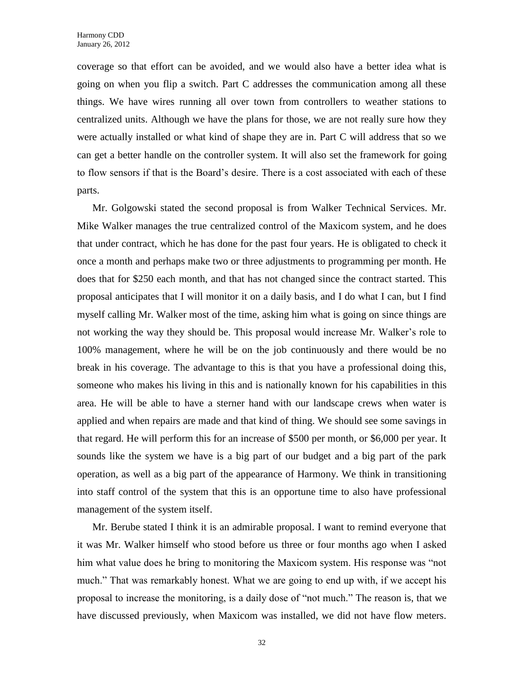coverage so that effort can be avoided, and we would also have a better idea what is going on when you flip a switch. Part C addresses the communication among all these things. We have wires running all over town from controllers to weather stations to centralized units. Although we have the plans for those, we are not really sure how they were actually installed or what kind of shape they are in. Part C will address that so we can get a better handle on the controller system. It will also set the framework for going to flow sensors if that is the Board's desire. There is a cost associated with each of these parts.

Mr. Golgowski stated the second proposal is from Walker Technical Services. Mr. Mike Walker manages the true centralized control of the Maxicom system, and he does that under contract, which he has done for the past four years. He is obligated to check it once a month and perhaps make two or three adjustments to programming per month. He does that for \$250 each month, and that has not changed since the contract started. This proposal anticipates that I will monitor it on a daily basis, and I do what I can, but I find myself calling Mr. Walker most of the time, asking him what is going on since things are not working the way they should be. This proposal would increase Mr. Walker's role to 100% management, where he will be on the job continuously and there would be no break in his coverage. The advantage to this is that you have a professional doing this, someone who makes his living in this and is nationally known for his capabilities in this area. He will be able to have a sterner hand with our landscape crews when water is applied and when repairs are made and that kind of thing. We should see some savings in that regard. He will perform this for an increase of \$500 per month, or \$6,000 per year. It sounds like the system we have is a big part of our budget and a big part of the park operation, as well as a big part of the appearance of Harmony. We think in transitioning into staff control of the system that this is an opportune time to also have professional management of the system itself.

Mr. Berube stated I think it is an admirable proposal. I want to remind everyone that it was Mr. Walker himself who stood before us three or four months ago when I asked him what value does he bring to monitoring the Maxicom system. His response was "not much." That was remarkably honest. What we are going to end up with, if we accept his proposal to increase the monitoring, is a daily dose of "not much." The reason is, that we have discussed previously, when Maxicom was installed, we did not have flow meters.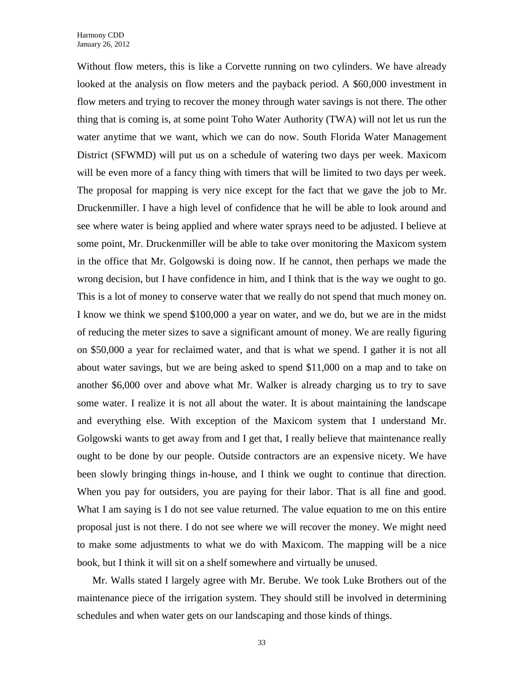Without flow meters, this is like a Corvette running on two cylinders. We have already looked at the analysis on flow meters and the payback period. A \$60,000 investment in flow meters and trying to recover the money through water savings is not there. The other thing that is coming is, at some point Toho Water Authority (TWA) will not let us run the water anytime that we want, which we can do now. South Florida Water Management District (SFWMD) will put us on a schedule of watering two days per week. Maxicom will be even more of a fancy thing with timers that will be limited to two days per week. The proposal for mapping is very nice except for the fact that we gave the job to Mr. Druckenmiller. I have a high level of confidence that he will be able to look around and see where water is being applied and where water sprays need to be adjusted. I believe at some point, Mr. Druckenmiller will be able to take over monitoring the Maxicom system in the office that Mr. Golgowski is doing now. If he cannot, then perhaps we made the wrong decision, but I have confidence in him, and I think that is the way we ought to go. This is a lot of money to conserve water that we really do not spend that much money on. I know we think we spend \$100,000 a year on water, and we do, but we are in the midst of reducing the meter sizes to save a significant amount of money. We are really figuring on \$50,000 a year for reclaimed water, and that is what we spend. I gather it is not all about water savings, but we are being asked to spend \$11,000 on a map and to take on another \$6,000 over and above what Mr. Walker is already charging us to try to save some water. I realize it is not all about the water. It is about maintaining the landscape and everything else. With exception of the Maxicom system that I understand Mr. Golgowski wants to get away from and I get that, I really believe that maintenance really ought to be done by our people. Outside contractors are an expensive nicety. We have been slowly bringing things in-house, and I think we ought to continue that direction. When you pay for outsiders, you are paying for their labor. That is all fine and good. What I am saying is I do not see value returned. The value equation to me on this entire proposal just is not there. I do not see where we will recover the money. We might need to make some adjustments to what we do with Maxicom. The mapping will be a nice book, but I think it will sit on a shelf somewhere and virtually be unused.

Mr. Walls stated I largely agree with Mr. Berube. We took Luke Brothers out of the maintenance piece of the irrigation system. They should still be involved in determining schedules and when water gets on our landscaping and those kinds of things.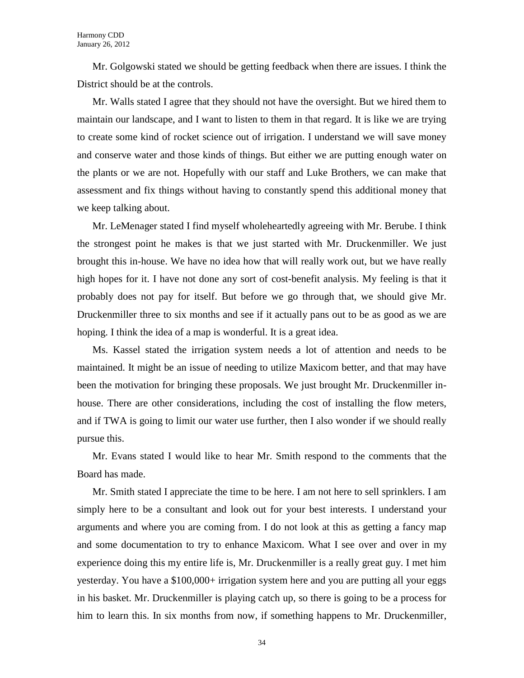Mr. Golgowski stated we should be getting feedback when there are issues. I think the District should be at the controls.

Mr. Walls stated I agree that they should not have the oversight. But we hired them to maintain our landscape, and I want to listen to them in that regard. It is like we are trying to create some kind of rocket science out of irrigation. I understand we will save money and conserve water and those kinds of things. But either we are putting enough water on the plants or we are not. Hopefully with our staff and Luke Brothers, we can make that assessment and fix things without having to constantly spend this additional money that we keep talking about.

Mr. LeMenager stated I find myself wholeheartedly agreeing with Mr. Berube. I think the strongest point he makes is that we just started with Mr. Druckenmiller. We just brought this in-house. We have no idea how that will really work out, but we have really high hopes for it. I have not done any sort of cost-benefit analysis. My feeling is that it probably does not pay for itself. But before we go through that, we should give Mr. Druckenmiller three to six months and see if it actually pans out to be as good as we are hoping. I think the idea of a map is wonderful. It is a great idea.

Ms. Kassel stated the irrigation system needs a lot of attention and needs to be maintained. It might be an issue of needing to utilize Maxicom better, and that may have been the motivation for bringing these proposals. We just brought Mr. Druckenmiller inhouse. There are other considerations, including the cost of installing the flow meters, and if TWA is going to limit our water use further, then I also wonder if we should really pursue this.

Mr. Evans stated I would like to hear Mr. Smith respond to the comments that the Board has made.

Mr. Smith stated I appreciate the time to be here. I am not here to sell sprinklers. I am simply here to be a consultant and look out for your best interests. I understand your arguments and where you are coming from. I do not look at this as getting a fancy map and some documentation to try to enhance Maxicom. What I see over and over in my experience doing this my entire life is, Mr. Druckenmiller is a really great guy. I met him yesterday. You have a \$100,000+ irrigation system here and you are putting all your eggs in his basket. Mr. Druckenmiller is playing catch up, so there is going to be a process for him to learn this. In six months from now, if something happens to Mr. Druckenmiller,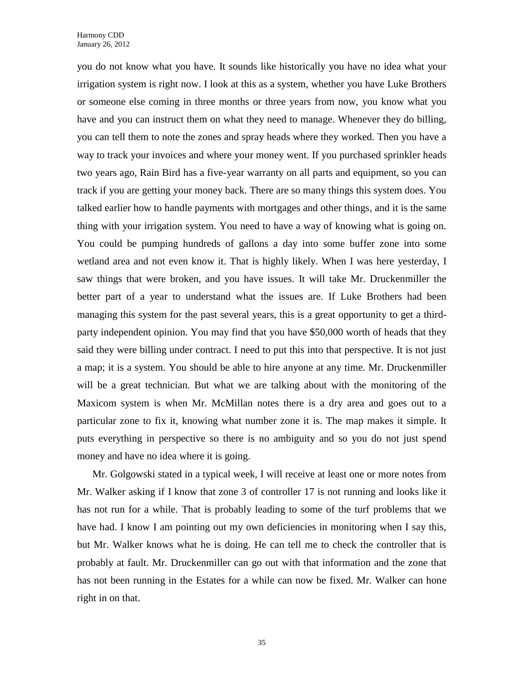you do not know what you have. It sounds like historically you have no idea what your irrigation system is right now. I look at this as a system, whether you have Luke Brothers or someone else coming in three months or three years from now, you know what you have and you can instruct them on what they need to manage. Whenever they do billing, you can tell them to note the zones and spray heads where they worked. Then you have a way to track your invoices and where your money went. If you purchased sprinkler heads two years ago, Rain Bird has a five-year warranty on all parts and equipment, so you can track if you are getting your money back. There are so many things this system does. You talked earlier how to handle payments with mortgages and other things, and it is the same thing with your irrigation system. You need to have a way of knowing what is going on. You could be pumping hundreds of gallons a day into some buffer zone into some wetland area and not even know it. That is highly likely. When I was here yesterday, I saw things that were broken, and you have issues. It will take Mr. Druckenmiller the better part of a year to understand what the issues are. If Luke Brothers had been managing this system for the past several years, this is a great opportunity to get a thirdparty independent opinion. You may find that you have \$50,000 worth of heads that they said they were billing under contract. I need to put this into that perspective. It is not just a map; it is a system. You should be able to hire anyone at any time. Mr. Druckenmiller will be a great technician. But what we are talking about with the monitoring of the Maxicom system is when Mr. McMillan notes there is a dry area and goes out to a particular zone to fix it, knowing what number zone it is. The map makes it simple. It puts everything in perspective so there is no ambiguity and so you do not just spend money and have no idea where it is going.

Mr. Golgowski stated in a typical week, I will receive at least one or more notes from Mr. Walker asking if I know that zone 3 of controller 17 is not running and looks like it has not run for a while. That is probably leading to some of the turf problems that we have had. I know I am pointing out my own deficiencies in monitoring when I say this, but Mr. Walker knows what he is doing. He can tell me to check the controller that is probably at fault. Mr. Druckenmiller can go out with that information and the zone that has not been running in the Estates for a while can now be fixed. Mr. Walker can hone right in on that.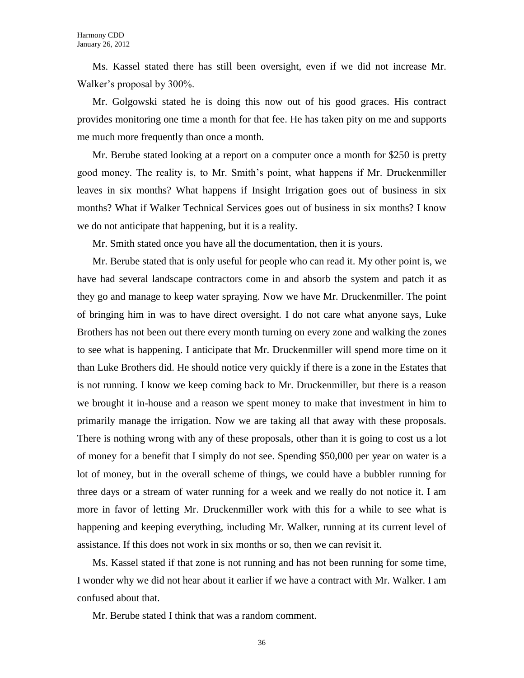Ms. Kassel stated there has still been oversight, even if we did not increase Mr. Walker's proposal by 300%.

Mr. Golgowski stated he is doing this now out of his good graces. His contract provides monitoring one time a month for that fee. He has taken pity on me and supports me much more frequently than once a month.

Mr. Berube stated looking at a report on a computer once a month for \$250 is pretty good money. The reality is, to Mr. Smith's point, what happens if Mr. Druckenmiller leaves in six months? What happens if Insight Irrigation goes out of business in six months? What if Walker Technical Services goes out of business in six months? I know we do not anticipate that happening, but it is a reality.

Mr. Smith stated once you have all the documentation, then it is yours.

Mr. Berube stated that is only useful for people who can read it. My other point is, we have had several landscape contractors come in and absorb the system and patch it as they go and manage to keep water spraying. Now we have Mr. Druckenmiller. The point of bringing him in was to have direct oversight. I do not care what anyone says, Luke Brothers has not been out there every month turning on every zone and walking the zones to see what is happening. I anticipate that Mr. Druckenmiller will spend more time on it than Luke Brothers did. He should notice very quickly if there is a zone in the Estates that is not running. I know we keep coming back to Mr. Druckenmiller, but there is a reason we brought it in-house and a reason we spent money to make that investment in him to primarily manage the irrigation. Now we are taking all that away with these proposals. There is nothing wrong with any of these proposals, other than it is going to cost us a lot of money for a benefit that I simply do not see. Spending \$50,000 per year on water is a lot of money, but in the overall scheme of things, we could have a bubbler running for three days or a stream of water running for a week and we really do not notice it. I am more in favor of letting Mr. Druckenmiller work with this for a while to see what is happening and keeping everything, including Mr. Walker, running at its current level of assistance. If this does not work in six months or so, then we can revisit it.

Ms. Kassel stated if that zone is not running and has not been running for some time, I wonder why we did not hear about it earlier if we have a contract with Mr. Walker. I am confused about that.

Mr. Berube stated I think that was a random comment.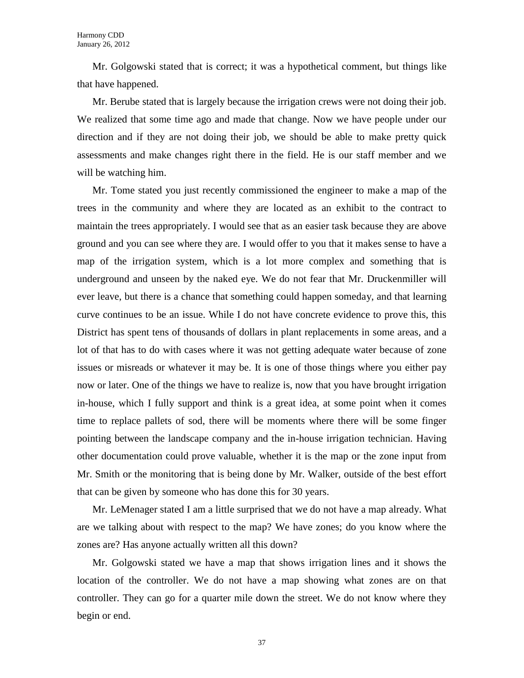Mr. Golgowski stated that is correct; it was a hypothetical comment, but things like that have happened.

Mr. Berube stated that is largely because the irrigation crews were not doing their job. We realized that some time ago and made that change. Now we have people under our direction and if they are not doing their job, we should be able to make pretty quick assessments and make changes right there in the field. He is our staff member and we will be watching him.

Mr. Tome stated you just recently commissioned the engineer to make a map of the trees in the community and where they are located as an exhibit to the contract to maintain the trees appropriately. I would see that as an easier task because they are above ground and you can see where they are. I would offer to you that it makes sense to have a map of the irrigation system, which is a lot more complex and something that is underground and unseen by the naked eye. We do not fear that Mr. Druckenmiller will ever leave, but there is a chance that something could happen someday, and that learning curve continues to be an issue. While I do not have concrete evidence to prove this, this District has spent tens of thousands of dollars in plant replacements in some areas, and a lot of that has to do with cases where it was not getting adequate water because of zone issues or misreads or whatever it may be. It is one of those things where you either pay now or later. One of the things we have to realize is, now that you have brought irrigation in-house, which I fully support and think is a great idea, at some point when it comes time to replace pallets of sod, there will be moments where there will be some finger pointing between the landscape company and the in-house irrigation technician. Having other documentation could prove valuable, whether it is the map or the zone input from Mr. Smith or the monitoring that is being done by Mr. Walker, outside of the best effort that can be given by someone who has done this for 30 years.

Mr. LeMenager stated I am a little surprised that we do not have a map already. What are we talking about with respect to the map? We have zones; do you know where the zones are? Has anyone actually written all this down?

Mr. Golgowski stated we have a map that shows irrigation lines and it shows the location of the controller. We do not have a map showing what zones are on that controller. They can go for a quarter mile down the street. We do not know where they begin or end.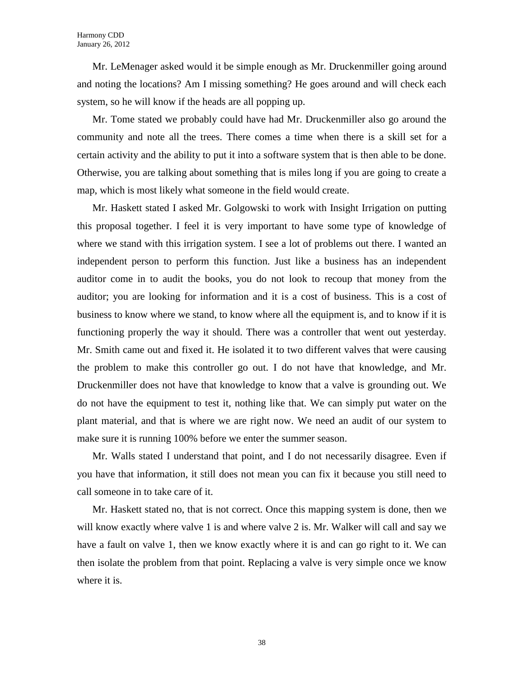Mr. LeMenager asked would it be simple enough as Mr. Druckenmiller going around and noting the locations? Am I missing something? He goes around and will check each system, so he will know if the heads are all popping up.

Mr. Tome stated we probably could have had Mr. Druckenmiller also go around the community and note all the trees. There comes a time when there is a skill set for a certain activity and the ability to put it into a software system that is then able to be done. Otherwise, you are talking about something that is miles long if you are going to create a map, which is most likely what someone in the field would create.

Mr. Haskett stated I asked Mr. Golgowski to work with Insight Irrigation on putting this proposal together. I feel it is very important to have some type of knowledge of where we stand with this irrigation system. I see a lot of problems out there. I wanted an independent person to perform this function. Just like a business has an independent auditor come in to audit the books, you do not look to recoup that money from the auditor; you are looking for information and it is a cost of business. This is a cost of business to know where we stand, to know where all the equipment is, and to know if it is functioning properly the way it should. There was a controller that went out yesterday. Mr. Smith came out and fixed it. He isolated it to two different valves that were causing the problem to make this controller go out. I do not have that knowledge, and Mr. Druckenmiller does not have that knowledge to know that a valve is grounding out. We do not have the equipment to test it, nothing like that. We can simply put water on the plant material, and that is where we are right now. We need an audit of our system to make sure it is running 100% before we enter the summer season.

Mr. Walls stated I understand that point, and I do not necessarily disagree. Even if you have that information, it still does not mean you can fix it because you still need to call someone in to take care of it.

Mr. Haskett stated no, that is not correct. Once this mapping system is done, then we will know exactly where valve 1 is and where valve 2 is. Mr. Walker will call and say we have a fault on valve 1, then we know exactly where it is and can go right to it. We can then isolate the problem from that point. Replacing a valve is very simple once we know where it is.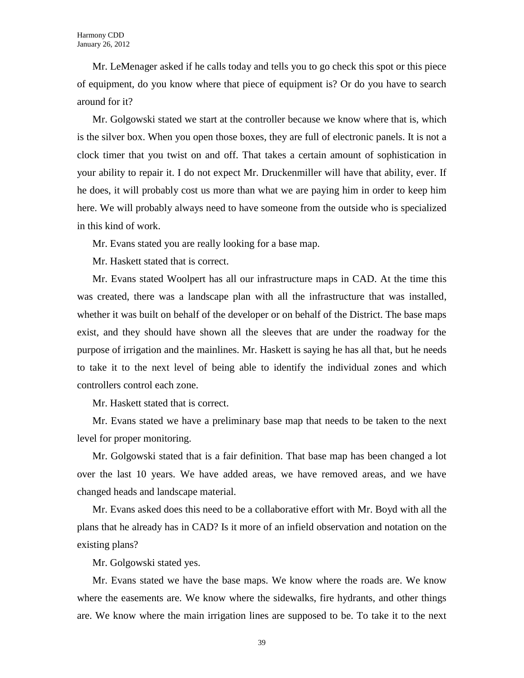Mr. LeMenager asked if he calls today and tells you to go check this spot or this piece of equipment, do you know where that piece of equipment is? Or do you have to search around for it?

Mr. Golgowski stated we start at the controller because we know where that is, which is the silver box. When you open those boxes, they are full of electronic panels. It is not a clock timer that you twist on and off. That takes a certain amount of sophistication in your ability to repair it. I do not expect Mr. Druckenmiller will have that ability, ever. If he does, it will probably cost us more than what we are paying him in order to keep him here. We will probably always need to have someone from the outside who is specialized in this kind of work.

Mr. Evans stated you are really looking for a base map.

Mr. Haskett stated that is correct.

Mr. Evans stated Woolpert has all our infrastructure maps in CAD. At the time this was created, there was a landscape plan with all the infrastructure that was installed, whether it was built on behalf of the developer or on behalf of the District. The base maps exist, and they should have shown all the sleeves that are under the roadway for the purpose of irrigation and the mainlines. Mr. Haskett is saying he has all that, but he needs to take it to the next level of being able to identify the individual zones and which controllers control each zone.

Mr. Haskett stated that is correct.

Mr. Evans stated we have a preliminary base map that needs to be taken to the next level for proper monitoring.

Mr. Golgowski stated that is a fair definition. That base map has been changed a lot over the last 10 years. We have added areas, we have removed areas, and we have changed heads and landscape material.

Mr. Evans asked does this need to be a collaborative effort with Mr. Boyd with all the plans that he already has in CAD? Is it more of an infield observation and notation on the existing plans?

Mr. Golgowski stated yes.

Mr. Evans stated we have the base maps. We know where the roads are. We know where the easements are. We know where the sidewalks, fire hydrants, and other things are. We know where the main irrigation lines are supposed to be. To take it to the next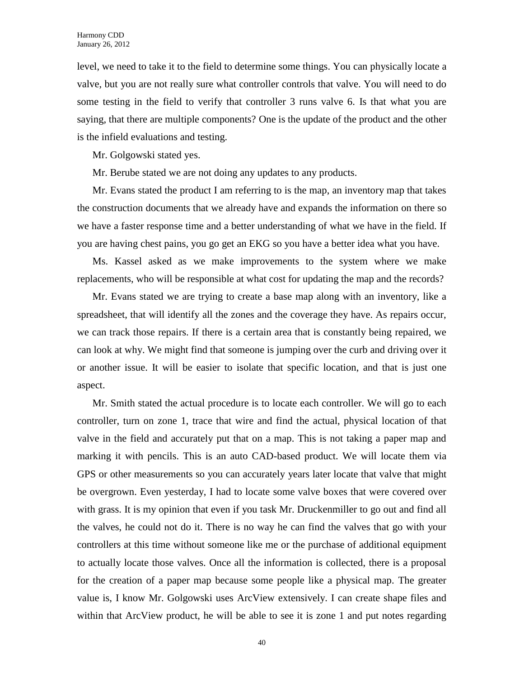level, we need to take it to the field to determine some things. You can physically locate a valve, but you are not really sure what controller controls that valve. You will need to do some testing in the field to verify that controller 3 runs valve 6. Is that what you are saying, that there are multiple components? One is the update of the product and the other is the infield evaluations and testing.

Mr. Golgowski stated yes.

Mr. Berube stated we are not doing any updates to any products.

Mr. Evans stated the product I am referring to is the map, an inventory map that takes the construction documents that we already have and expands the information on there so we have a faster response time and a better understanding of what we have in the field. If you are having chest pains, you go get an EKG so you have a better idea what you have.

Ms. Kassel asked as we make improvements to the system where we make replacements, who will be responsible at what cost for updating the map and the records?

Mr. Evans stated we are trying to create a base map along with an inventory, like a spreadsheet, that will identify all the zones and the coverage they have. As repairs occur, we can track those repairs. If there is a certain area that is constantly being repaired, we can look at why. We might find that someone is jumping over the curb and driving over it or another issue. It will be easier to isolate that specific location, and that is just one aspect.

Mr. Smith stated the actual procedure is to locate each controller. We will go to each controller, turn on zone 1, trace that wire and find the actual, physical location of that valve in the field and accurately put that on a map. This is not taking a paper map and marking it with pencils. This is an auto CAD-based product. We will locate them via GPS or other measurements so you can accurately years later locate that valve that might be overgrown. Even yesterday, I had to locate some valve boxes that were covered over with grass. It is my opinion that even if you task Mr. Druckenmiller to go out and find all the valves, he could not do it. There is no way he can find the valves that go with your controllers at this time without someone like me or the purchase of additional equipment to actually locate those valves. Once all the information is collected, there is a proposal for the creation of a paper map because some people like a physical map. The greater value is, I know Mr. Golgowski uses ArcView extensively. I can create shape files and within that ArcView product, he will be able to see it is zone 1 and put notes regarding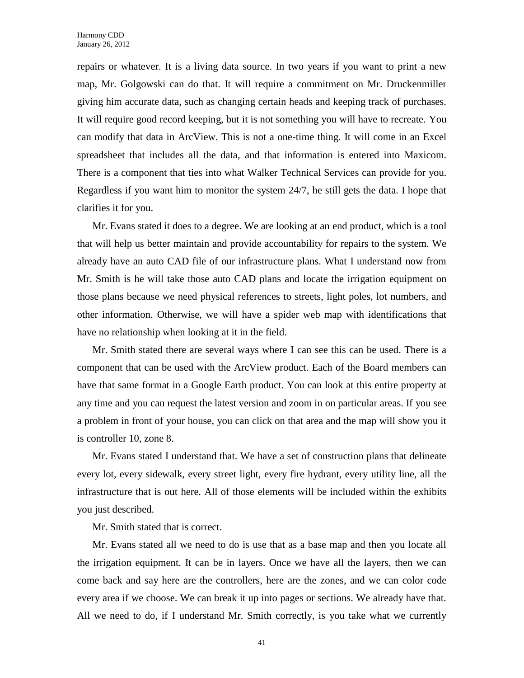repairs or whatever. It is a living data source. In two years if you want to print a new map, Mr. Golgowski can do that. It will require a commitment on Mr. Druckenmiller giving him accurate data, such as changing certain heads and keeping track of purchases. It will require good record keeping, but it is not something you will have to recreate. You can modify that data in ArcView. This is not a one-time thing. It will come in an Excel spreadsheet that includes all the data, and that information is entered into Maxicom. There is a component that ties into what Walker Technical Services can provide for you. Regardless if you want him to monitor the system 24/7, he still gets the data. I hope that clarifies it for you.

Mr. Evans stated it does to a degree. We are looking at an end product, which is a tool that will help us better maintain and provide accountability for repairs to the system. We already have an auto CAD file of our infrastructure plans. What I understand now from Mr. Smith is he will take those auto CAD plans and locate the irrigation equipment on those plans because we need physical references to streets, light poles, lot numbers, and other information. Otherwise, we will have a spider web map with identifications that have no relationship when looking at it in the field.

Mr. Smith stated there are several ways where I can see this can be used. There is a component that can be used with the ArcView product. Each of the Board members can have that same format in a Google Earth product. You can look at this entire property at any time and you can request the latest version and zoom in on particular areas. If you see a problem in front of your house, you can click on that area and the map will show you it is controller 10, zone 8.

Mr. Evans stated I understand that. We have a set of construction plans that delineate every lot, every sidewalk, every street light, every fire hydrant, every utility line, all the infrastructure that is out here. All of those elements will be included within the exhibits you just described.

Mr. Smith stated that is correct.

Mr. Evans stated all we need to do is use that as a base map and then you locate all the irrigation equipment. It can be in layers. Once we have all the layers, then we can come back and say here are the controllers, here are the zones, and we can color code every area if we choose. We can break it up into pages or sections. We already have that. All we need to do, if I understand Mr. Smith correctly, is you take what we currently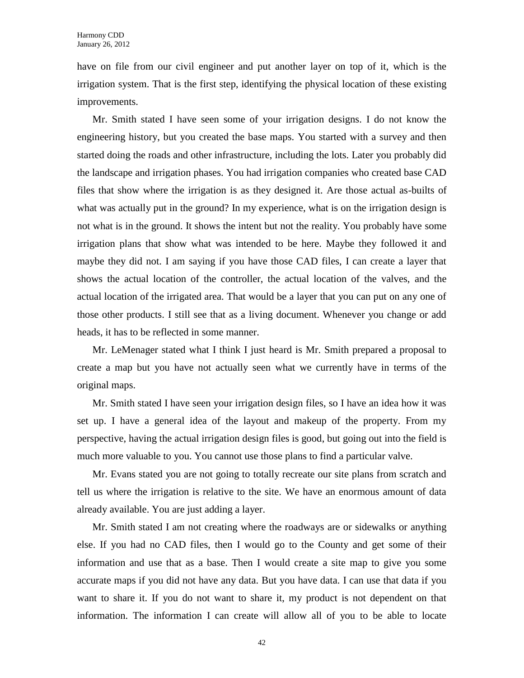have on file from our civil engineer and put another layer on top of it, which is the irrigation system. That is the first step, identifying the physical location of these existing improvements.

Mr. Smith stated I have seen some of your irrigation designs. I do not know the engineering history, but you created the base maps. You started with a survey and then started doing the roads and other infrastructure, including the lots. Later you probably did the landscape and irrigation phases. You had irrigation companies who created base CAD files that show where the irrigation is as they designed it. Are those actual as-builts of what was actually put in the ground? In my experience, what is on the irrigation design is not what is in the ground. It shows the intent but not the reality. You probably have some irrigation plans that show what was intended to be here. Maybe they followed it and maybe they did not. I am saying if you have those CAD files, I can create a layer that shows the actual location of the controller, the actual location of the valves, and the actual location of the irrigated area. That would be a layer that you can put on any one of those other products. I still see that as a living document. Whenever you change or add heads, it has to be reflected in some manner.

Mr. LeMenager stated what I think I just heard is Mr. Smith prepared a proposal to create a map but you have not actually seen what we currently have in terms of the original maps.

Mr. Smith stated I have seen your irrigation design files, so I have an idea how it was set up. I have a general idea of the layout and makeup of the property. From my perspective, having the actual irrigation design files is good, but going out into the field is much more valuable to you. You cannot use those plans to find a particular valve.

Mr. Evans stated you are not going to totally recreate our site plans from scratch and tell us where the irrigation is relative to the site. We have an enormous amount of data already available. You are just adding a layer.

Mr. Smith stated I am not creating where the roadways are or sidewalks or anything else. If you had no CAD files, then I would go to the County and get some of their information and use that as a base. Then I would create a site map to give you some accurate maps if you did not have any data. But you have data. I can use that data if you want to share it. If you do not want to share it, my product is not dependent on that information. The information I can create will allow all of you to be able to locate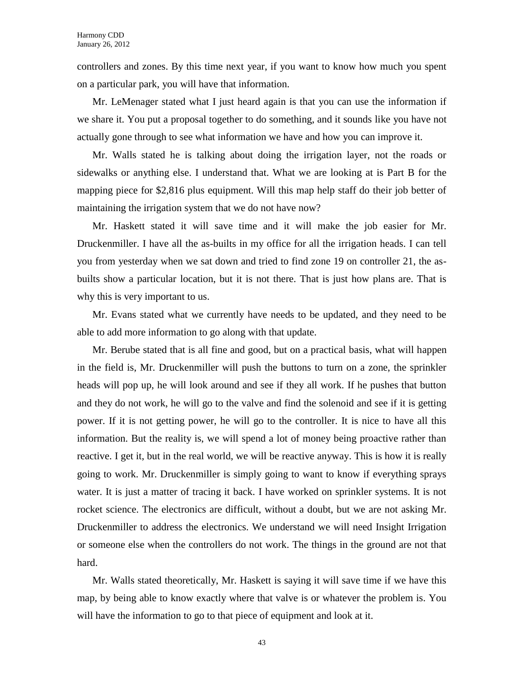controllers and zones. By this time next year, if you want to know how much you spent on a particular park, you will have that information.

Mr. LeMenager stated what I just heard again is that you can use the information if we share it. You put a proposal together to do something, and it sounds like you have not actually gone through to see what information we have and how you can improve it.

Mr. Walls stated he is talking about doing the irrigation layer, not the roads or sidewalks or anything else. I understand that. What we are looking at is Part B for the mapping piece for \$2,816 plus equipment. Will this map help staff do their job better of maintaining the irrigation system that we do not have now?

Mr. Haskett stated it will save time and it will make the job easier for Mr. Druckenmiller. I have all the as-builts in my office for all the irrigation heads. I can tell you from yesterday when we sat down and tried to find zone 19 on controller 21, the asbuilts show a particular location, but it is not there. That is just how plans are. That is why this is very important to us.

Mr. Evans stated what we currently have needs to be updated, and they need to be able to add more information to go along with that update.

Mr. Berube stated that is all fine and good, but on a practical basis, what will happen in the field is, Mr. Druckenmiller will push the buttons to turn on a zone, the sprinkler heads will pop up, he will look around and see if they all work. If he pushes that button and they do not work, he will go to the valve and find the solenoid and see if it is getting power. If it is not getting power, he will go to the controller. It is nice to have all this information. But the reality is, we will spend a lot of money being proactive rather than reactive. I get it, but in the real world, we will be reactive anyway. This is how it is really going to work. Mr. Druckenmiller is simply going to want to know if everything sprays water. It is just a matter of tracing it back. I have worked on sprinkler systems. It is not rocket science. The electronics are difficult, without a doubt, but we are not asking Mr. Druckenmiller to address the electronics. We understand we will need Insight Irrigation or someone else when the controllers do not work. The things in the ground are not that hard.

Mr. Walls stated theoretically, Mr. Haskett is saying it will save time if we have this map, by being able to know exactly where that valve is or whatever the problem is. You will have the information to go to that piece of equipment and look at it.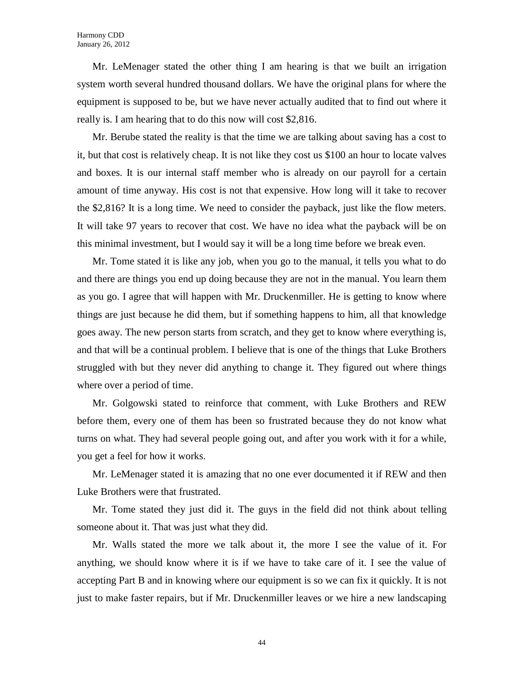Mr. LeMenager stated the other thing I am hearing is that we built an irrigation system worth several hundred thousand dollars. We have the original plans for where the equipment is supposed to be, but we have never actually audited that to find out where it really is. I am hearing that to do this now will cost \$2,816.

Mr. Berube stated the reality is that the time we are talking about saving has a cost to it, but that cost is relatively cheap. It is not like they cost us \$100 an hour to locate valves and boxes. It is our internal staff member who is already on our payroll for a certain amount of time anyway. His cost is not that expensive. How long will it take to recover the \$2,816? It is a long time. We need to consider the payback, just like the flow meters. It will take 97 years to recover that cost. We have no idea what the payback will be on this minimal investment, but I would say it will be a long time before we break even.

Mr. Tome stated it is like any job, when you go to the manual, it tells you what to do and there are things you end up doing because they are not in the manual. You learn them as you go. I agree that will happen with Mr. Druckenmiller. He is getting to know where things are just because he did them, but if something happens to him, all that knowledge goes away. The new person starts from scratch, and they get to know where everything is, and that will be a continual problem. I believe that is one of the things that Luke Brothers struggled with but they never did anything to change it. They figured out where things where over a period of time.

Mr. Golgowski stated to reinforce that comment, with Luke Brothers and REW before them, every one of them has been so frustrated because they do not know what turns on what. They had several people going out, and after you work with it for a while, you get a feel for how it works.

Mr. LeMenager stated it is amazing that no one ever documented it if REW and then Luke Brothers were that frustrated.

Mr. Tome stated they just did it. The guys in the field did not think about telling someone about it. That was just what they did.

Mr. Walls stated the more we talk about it, the more I see the value of it. For anything, we should know where it is if we have to take care of it. I see the value of accepting Part B and in knowing where our equipment is so we can fix it quickly. It is not just to make faster repairs, but if Mr. Druckenmiller leaves or we hire a new landscaping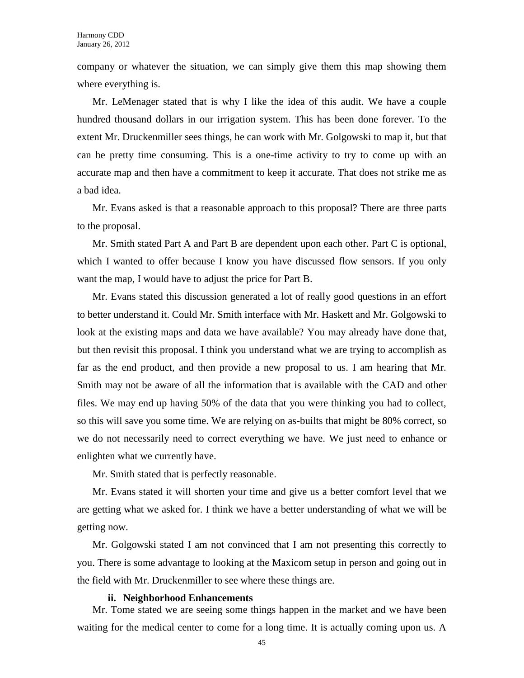company or whatever the situation, we can simply give them this map showing them where everything is.

Mr. LeMenager stated that is why I like the idea of this audit. We have a couple hundred thousand dollars in our irrigation system. This has been done forever. To the extent Mr. Druckenmiller sees things, he can work with Mr. Golgowski to map it, but that can be pretty time consuming. This is a one-time activity to try to come up with an accurate map and then have a commitment to keep it accurate. That does not strike me as a bad idea.

Mr. Evans asked is that a reasonable approach to this proposal? There are three parts to the proposal.

Mr. Smith stated Part A and Part B are dependent upon each other. Part C is optional, which I wanted to offer because I know you have discussed flow sensors. If you only want the map, I would have to adjust the price for Part B.

Mr. Evans stated this discussion generated a lot of really good questions in an effort to better understand it. Could Mr. Smith interface with Mr. Haskett and Mr. Golgowski to look at the existing maps and data we have available? You may already have done that, but then revisit this proposal. I think you understand what we are trying to accomplish as far as the end product, and then provide a new proposal to us. I am hearing that Mr. Smith may not be aware of all the information that is available with the CAD and other files. We may end up having 50% of the data that you were thinking you had to collect, so this will save you some time. We are relying on as-builts that might be 80% correct, so we do not necessarily need to correct everything we have. We just need to enhance or enlighten what we currently have.

Mr. Smith stated that is perfectly reasonable.

Mr. Evans stated it will shorten your time and give us a better comfort level that we are getting what we asked for. I think we have a better understanding of what we will be getting now.

Mr. Golgowski stated I am not convinced that I am not presenting this correctly to you. There is some advantage to looking at the Maxicom setup in person and going out in the field with Mr. Druckenmiller to see where these things are.

#### **ii. Neighborhood Enhancements**

Mr. Tome stated we are seeing some things happen in the market and we have been waiting for the medical center to come for a long time. It is actually coming upon us. A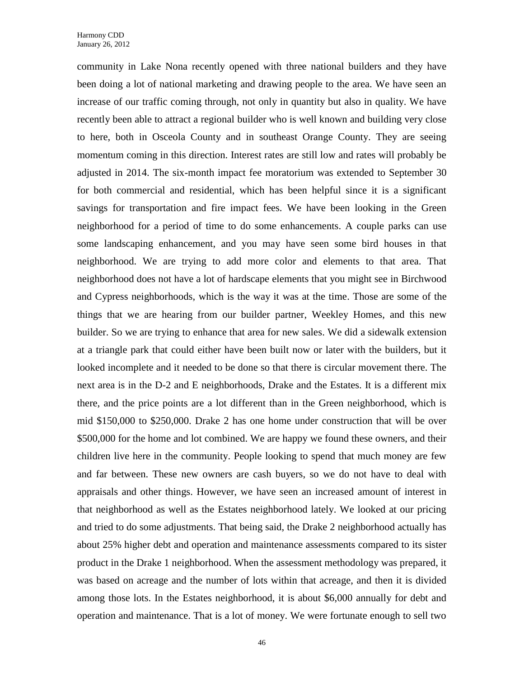community in Lake Nona recently opened with three national builders and they have been doing a lot of national marketing and drawing people to the area. We have seen an increase of our traffic coming through, not only in quantity but also in quality. We have recently been able to attract a regional builder who is well known and building very close to here, both in Osceola County and in southeast Orange County. They are seeing momentum coming in this direction. Interest rates are still low and rates will probably be adjusted in 2014. The six-month impact fee moratorium was extended to September 30 for both commercial and residential, which has been helpful since it is a significant savings for transportation and fire impact fees. We have been looking in the Green neighborhood for a period of time to do some enhancements. A couple parks can use some landscaping enhancement, and you may have seen some bird houses in that neighborhood. We are trying to add more color and elements to that area. That neighborhood does not have a lot of hardscape elements that you might see in Birchwood and Cypress neighborhoods, which is the way it was at the time. Those are some of the things that we are hearing from our builder partner, Weekley Homes, and this new builder. So we are trying to enhance that area for new sales. We did a sidewalk extension at a triangle park that could either have been built now or later with the builders, but it looked incomplete and it needed to be done so that there is circular movement there. The next area is in the D-2 and E neighborhoods, Drake and the Estates. It is a different mix there, and the price points are a lot different than in the Green neighborhood, which is mid \$150,000 to \$250,000. Drake 2 has one home under construction that will be over \$500,000 for the home and lot combined. We are happy we found these owners, and their children live here in the community. People looking to spend that much money are few and far between. These new owners are cash buyers, so we do not have to deal with appraisals and other things. However, we have seen an increased amount of interest in that neighborhood as well as the Estates neighborhood lately. We looked at our pricing and tried to do some adjustments. That being said, the Drake 2 neighborhood actually has about 25% higher debt and operation and maintenance assessments compared to its sister product in the Drake 1 neighborhood. When the assessment methodology was prepared, it was based on acreage and the number of lots within that acreage, and then it is divided among those lots. In the Estates neighborhood, it is about \$6,000 annually for debt and operation and maintenance. That is a lot of money. We were fortunate enough to sell two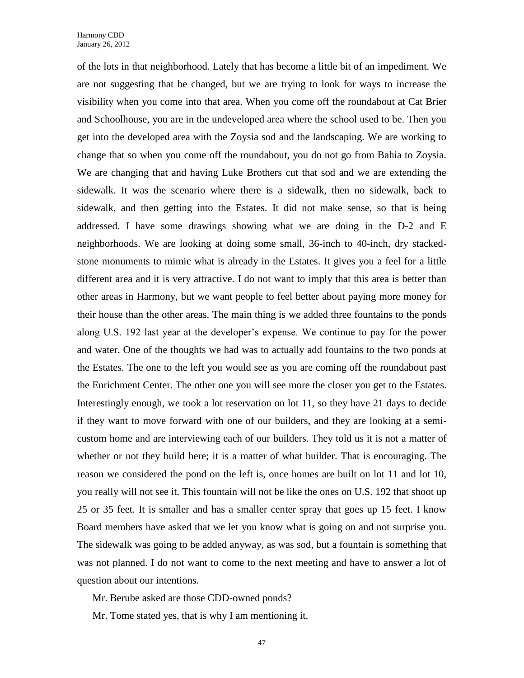of the lots in that neighborhood. Lately that has become a little bit of an impediment. We are not suggesting that be changed, but we are trying to look for ways to increase the visibility when you come into that area. When you come off the roundabout at Cat Brier and Schoolhouse, you are in the undeveloped area where the school used to be. Then you get into the developed area with the Zoysia sod and the landscaping. We are working to change that so when you come off the roundabout, you do not go from Bahia to Zoysia. We are changing that and having Luke Brothers cut that sod and we are extending the sidewalk. It was the scenario where there is a sidewalk, then no sidewalk, back to sidewalk, and then getting into the Estates. It did not make sense, so that is being addressed. I have some drawings showing what we are doing in the D-2 and E neighborhoods. We are looking at doing some small, 36-inch to 40-inch, dry stackedstone monuments to mimic what is already in the Estates. It gives you a feel for a little different area and it is very attractive. I do not want to imply that this area is better than other areas in Harmony, but we want people to feel better about paying more money for their house than the other areas. The main thing is we added three fountains to the ponds along U.S. 192 last year at the developer's expense. We continue to pay for the power and water. One of the thoughts we had was to actually add fountains to the two ponds at the Estates. The one to the left you would see as you are coming off the roundabout past the Enrichment Center. The other one you will see more the closer you get to the Estates. Interestingly enough, we took a lot reservation on lot 11, so they have 21 days to decide if they want to move forward with one of our builders, and they are looking at a semicustom home and are interviewing each of our builders. They told us it is not a matter of whether or not they build here; it is a matter of what builder. That is encouraging. The reason we considered the pond on the left is, once homes are built on lot 11 and lot 10, you really will not see it. This fountain will not be like the ones on U.S. 192 that shoot up 25 or 35 feet. It is smaller and has a smaller center spray that goes up 15 feet. I know Board members have asked that we let you know what is going on and not surprise you. The sidewalk was going to be added anyway, as was sod, but a fountain is something that was not planned. I do not want to come to the next meeting and have to answer a lot of question about our intentions.

Mr. Berube asked are those CDD-owned ponds?

Mr. Tome stated yes, that is why I am mentioning it.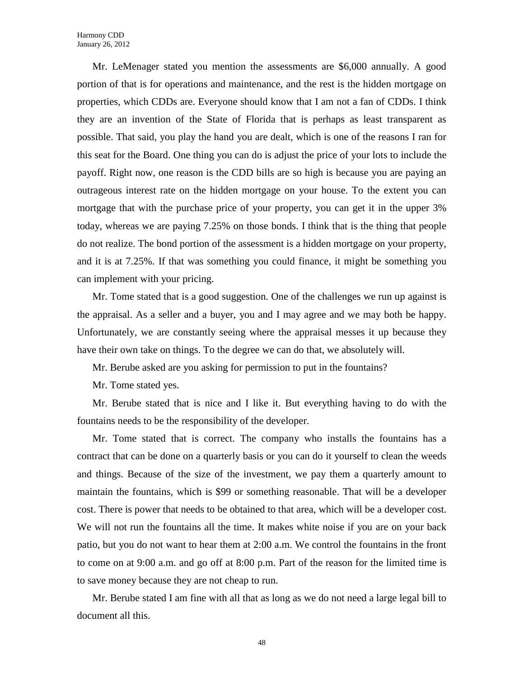Mr. LeMenager stated you mention the assessments are \$6,000 annually. A good portion of that is for operations and maintenance, and the rest is the hidden mortgage on properties, which CDDs are. Everyone should know that I am not a fan of CDDs. I think they are an invention of the State of Florida that is perhaps as least transparent as possible. That said, you play the hand you are dealt, which is one of the reasons I ran for this seat for the Board. One thing you can do is adjust the price of your lots to include the payoff. Right now, one reason is the CDD bills are so high is because you are paying an outrageous interest rate on the hidden mortgage on your house. To the extent you can mortgage that with the purchase price of your property, you can get it in the upper 3% today, whereas we are paying 7.25% on those bonds. I think that is the thing that people do not realize. The bond portion of the assessment is a hidden mortgage on your property, and it is at 7.25%. If that was something you could finance, it might be something you can implement with your pricing.

Mr. Tome stated that is a good suggestion. One of the challenges we run up against is the appraisal. As a seller and a buyer, you and I may agree and we may both be happy. Unfortunately, we are constantly seeing where the appraisal messes it up because they have their own take on things. To the degree we can do that, we absolutely will.

Mr. Berube asked are you asking for permission to put in the fountains?

Mr. Tome stated yes.

Mr. Berube stated that is nice and I like it. But everything having to do with the fountains needs to be the responsibility of the developer.

Mr. Tome stated that is correct. The company who installs the fountains has a contract that can be done on a quarterly basis or you can do it yourself to clean the weeds and things. Because of the size of the investment, we pay them a quarterly amount to maintain the fountains, which is \$99 or something reasonable. That will be a developer cost. There is power that needs to be obtained to that area, which will be a developer cost. We will not run the fountains all the time. It makes white noise if you are on your back patio, but you do not want to hear them at 2:00 a.m. We control the fountains in the front to come on at 9:00 a.m. and go off at 8:00 p.m. Part of the reason for the limited time is to save money because they are not cheap to run.

Mr. Berube stated I am fine with all that as long as we do not need a large legal bill to document all this.

48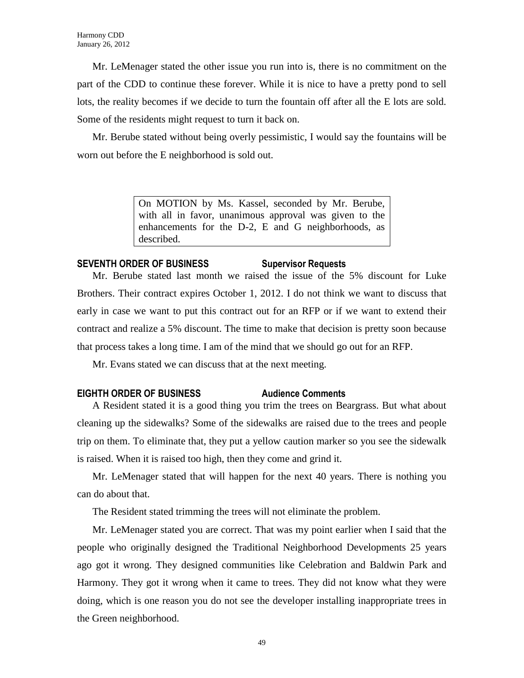Mr. LeMenager stated the other issue you run into is, there is no commitment on the part of the CDD to continue these forever. While it is nice to have a pretty pond to sell lots, the reality becomes if we decide to turn the fountain off after all the E lots are sold. Some of the residents might request to turn it back on.

Mr. Berube stated without being overly pessimistic, I would say the fountains will be worn out before the E neighborhood is sold out.

> On MOTION by Ms. Kassel, seconded by Mr. Berube, with all in favor, unanimous approval was given to the enhancements for the D-2, E and G neighborhoods, as described.

# **SEVENTH ORDER OF BUSINESS Supervisor Requests**

Mr. Berube stated last month we raised the issue of the 5% discount for Luke Brothers. Their contract expires October 1, 2012. I do not think we want to discuss that early in case we want to put this contract out for an RFP or if we want to extend their contract and realize a 5% discount. The time to make that decision is pretty soon because that process takes a long time. I am of the mind that we should go out for an RFP.

Mr. Evans stated we can discuss that at the next meeting.

### **EIGHTH ORDER OF BUSINESS Audience Comments**

A Resident stated it is a good thing you trim the trees on Beargrass. But what about cleaning up the sidewalks? Some of the sidewalks are raised due to the trees and people trip on them. To eliminate that, they put a yellow caution marker so you see the sidewalk is raised. When it is raised too high, then they come and grind it.

Mr. LeMenager stated that will happen for the next 40 years. There is nothing you can do about that.

The Resident stated trimming the trees will not eliminate the problem.

Mr. LeMenager stated you are correct. That was my point earlier when I said that the people who originally designed the Traditional Neighborhood Developments 25 years ago got it wrong. They designed communities like Celebration and Baldwin Park and Harmony. They got it wrong when it came to trees. They did not know what they were doing, which is one reason you do not see the developer installing inappropriate trees in the Green neighborhood.